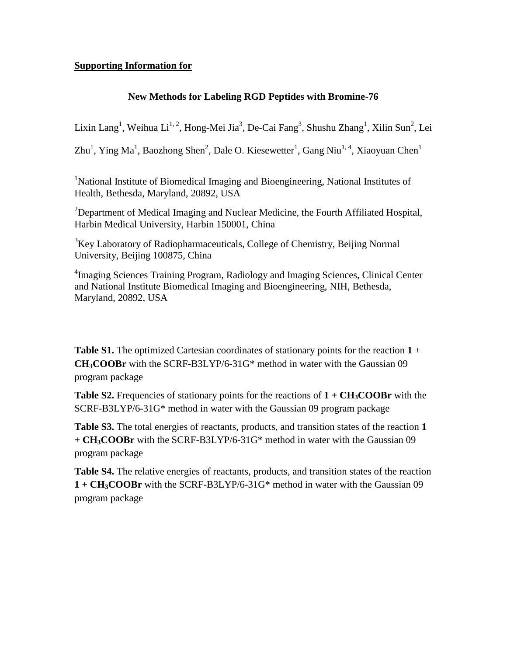## **Supporting Information for**

## **New Methods for Labeling RGD Peptides with Bromine-76**

Lixin Lang<sup>1</sup>, Weihua Li<sup>1, 2</sup>, Hong-Mei Jia<sup>3</sup>, De-Cai Fang<sup>3</sup>, Shushu Zhang<sup>1</sup>, Xilin Sun<sup>2</sup>, Lei

Zhu<sup>1</sup>, Ying Ma<sup>1</sup>, Baozhong Shen<sup>2</sup>, Dale O. Kiesewetter<sup>1</sup>, Gang Niu<sup>1, 4</sup>, Xiaoyuan Chen<sup>1</sup>

<sup>1</sup>National Institute of Biomedical Imaging and Bioengineering, National Institutes of Health, Bethesda, Maryland, 20892, USA

<sup>2</sup>Department of Medical Imaging and Nuclear Medicine, the Fourth Affiliated Hospital, Harbin Medical University, Harbin 150001, China

 $3$ Key Laboratory of Radiopharmaceuticals, College of Chemistry, Beijing Normal University, Beijing 100875, China

<sup>4</sup>Imaging Sciences Training Program, Radiology and Imaging Sciences, Clinical Center and National Institute Biomedical Imaging and Bioengineering, NIH, Bethesda, Maryland, 20892, USA

**Table S1.** The optimized Cartesian coordinates of stationary points for the reaction **1** + **CH3COOBr** with the SCRF-B3LYP/6-31G\* method in water with the Gaussian 09 program package

**Table S2.** Frequencies of stationary points for the reactions of  $1 + CH<sub>3</sub>COOBr$  with the SCRF-B3LYP/6-31G\* method in water with the Gaussian 09 program package

**Table S3.** The total energies of reactants, products, and transition states of the reaction **1 + CH3COOBr** with the SCRF-B3LYP/6-31G\* method in water with the Gaussian 09 program package

**Table S4.** The relative energies of reactants, products, and transition states of the reaction **1 + CH3COOBr** with the SCRF-B3LYP/6-31G\* method in water with the Gaussian 09 program package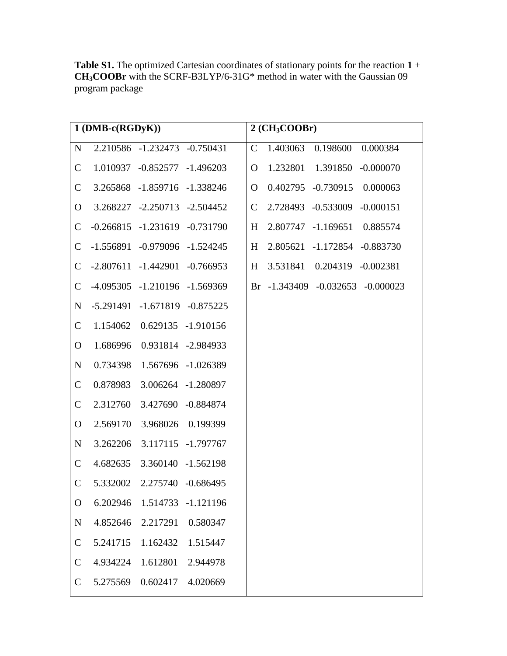**Table S1.** The optimized Cartesian coordinates of stationary points for the reaction **1** + **CH3COOBr** with the SCRF-B3LYP/6-31G\* method in water with the Gaussian 09 program package

|               | $1(DMB-c(RGDyK))$                   |                    | $2$ (CH <sub>3</sub> COOBr) |                                   |  |  |  |
|---------------|-------------------------------------|--------------------|-----------------------------|-----------------------------------|--|--|--|
| ${\bf N}$     | 2.210586 -1.232473 -0.750431        |                    | $\mathcal{C}$               | 1.403063<br>0.198600<br>0.000384  |  |  |  |
| $\mathsf{C}$  | 1.010937 -0.852577 -1.496203        |                    | $\overline{O}$              | 1.232801 1.391850<br>$-0.000070$  |  |  |  |
| $\mathsf{C}$  | 3.265868 -1.859716 -1.338246        |                    | $\overline{O}$              | 0.402795 -0.730915<br>0.000063    |  |  |  |
| $\mathbf{O}$  | 3.268227 -2.250713 -2.504452        |                    | $\mathcal{C}$               | 2.728493 -0.533009<br>$-0.000151$ |  |  |  |
| $\mathsf{C}$  | $-0.266815$ $-1.231619$ $-0.731790$ |                    | H                           | 2.807747 -1.169651<br>0.885574    |  |  |  |
| $\mathsf{C}$  | $-1.556891$ $-0.979096$ $-1.524245$ |                    | H                           | 2.805621 -1.172854 -0.883730      |  |  |  |
| $\mathsf{C}$  | $-2.807611 - 1.442901 - 0.766953$   |                    | H                           | 3.531841  0.204319  -0.002381     |  |  |  |
| $\mathsf{C}$  | -4.095305 -1.210196 -1.569369       |                    |                             | Br -1.343409 -0.032653 -0.000023  |  |  |  |
| N             | -5.291491 -1.671819 -0.875225       |                    |                             |                                   |  |  |  |
| $\mathsf{C}$  | 1.154062  0.629135  -1.910156       |                    |                             |                                   |  |  |  |
| $\mathbf{O}$  | 1.686996  0.931814  -2.984933       |                    |                             |                                   |  |  |  |
| $\mathbf N$   | 0.734398  1.567696  -1.026389       |                    |                             |                                   |  |  |  |
| $\mathsf{C}$  | 3.006264 -1.280897<br>0.878983      |                    |                             |                                   |  |  |  |
| $\mathsf{C}$  | 2.312760<br>3.427690 -0.884874      |                    |                             |                                   |  |  |  |
| $\mathbf{O}$  | 2.569170                            | 3.968026 0.199399  |                             |                                   |  |  |  |
| $\mathbf N$   | 3.262206                            | 3.117115 -1.797767 |                             |                                   |  |  |  |
| $\mathsf{C}$  | 4.682635<br>3.360140 -1.562198      |                    |                             |                                   |  |  |  |
| $\mathbf C$   | 5.332002 2.275740 -0.686495         |                    |                             |                                   |  |  |  |
| $\mathbf{O}$  | 6.202946<br>1.514733                | $-1.121196$        |                             |                                   |  |  |  |
| $\mathbf N$   | 4.852646<br>2.217291                | 0.580347           |                             |                                   |  |  |  |
| $\mathcal{C}$ | 5.241715<br>1.162432                | 1.515447           |                             |                                   |  |  |  |
| $\mathcal{C}$ | 4.934224<br>1.612801                | 2.944978           |                             |                                   |  |  |  |
| $\mathbf C$   | 5.275569<br>0.602417                | 4.020669           |                             |                                   |  |  |  |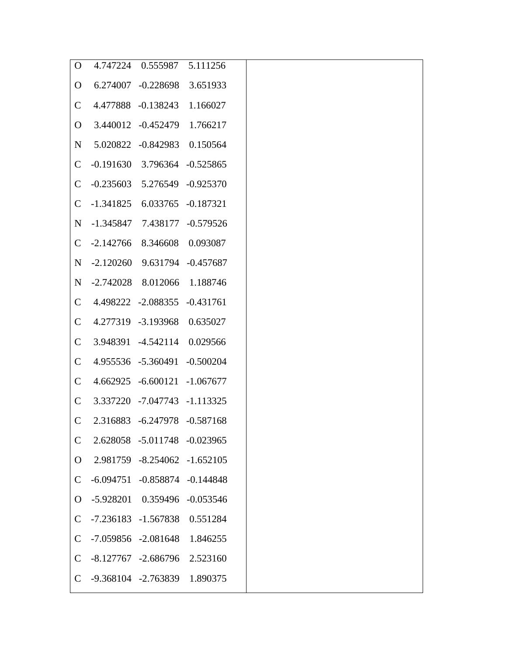| $\Omega$       |                                  | 4.747224  0.555987  5.111256       |          |
|----------------|----------------------------------|------------------------------------|----------|
| $\mathbf{O}$   |                                  | 6.274007 -0.228698 3.651933        |          |
| $\mathcal{C}$  |                                  | 4.477888 -0.138243 1.166027        |          |
| $\overline{O}$ |                                  | 3.440012 -0.452479 1.766217        |          |
| $\mathbf N$    |                                  | 5.020822 -0.842983 0.150564        |          |
| $\mathsf{C}$   |                                  | $-0.191630$ 3.796364 $-0.525865$   |          |
| $\mathsf{C}$   |                                  | $-0.235603$ $5.276549$ $-0.925370$ |          |
| $\mathcal{C}$  | $-1.341825$ 6.033765 $-0.187321$ |                                    |          |
| $N_{\rm}$      | -1.345847 7.438177 -0.579526     |                                    |          |
| $\mathbf C$    | -2.142766 8.346608 0.093087      |                                    |          |
| N              |                                  | $-2.120260$ 9.631794 $-0.457687$   |          |
| $N_{\rm}$      |                                  | -2.742028 8.012066 1.188746        |          |
| $\mathsf{C}$   | 4.498222 -2.088355 -0.431761     |                                    |          |
| $\mathsf{C}$   |                                  | 4.277319 -3.193968 0.635027        |          |
| $\mathsf{C}$   |                                  | 3.948391 -4.542114 0.029566        |          |
| $\mathsf{C}$   |                                  | 4.955536 -5.360491 -0.500204       |          |
| $\mathcal{C}$  |                                  | 4.662925 -6.600121 -1.067677       |          |
| $\mathcal{C}$  |                                  | 3.337220 -7.047743 -1.113325       |          |
| $\mathcal{C}$  |                                  | 2.316883 -6.247978 -0.587168       |          |
| $\mathsf{C}$   |                                  | 2.628058 -5.011748 -0.023965       |          |
| O              |                                  | 2.981759 -8.254062 -1.652105       |          |
| $\mathsf{C}$   |                                  | $-6.094751 - 0.858874 - 0.144848$  |          |
| $\mathbf{O}$   |                                  | $-5.928201$ $0.359496$ $-0.053546$ |          |
| $\mathsf{C}$   |                                  | $-7.236183 - 1.567838$             | 0.551284 |
| $\mathsf{C}$   |                                  | $-7.059856 -2.081648$              | 1.846255 |
| $\mathsf{C}$   |                                  | $-8.127767 - 2.686796$             | 2.523160 |
| $\mathsf{C}$   |                                  | -9.368104 -2.763839                | 1.890375 |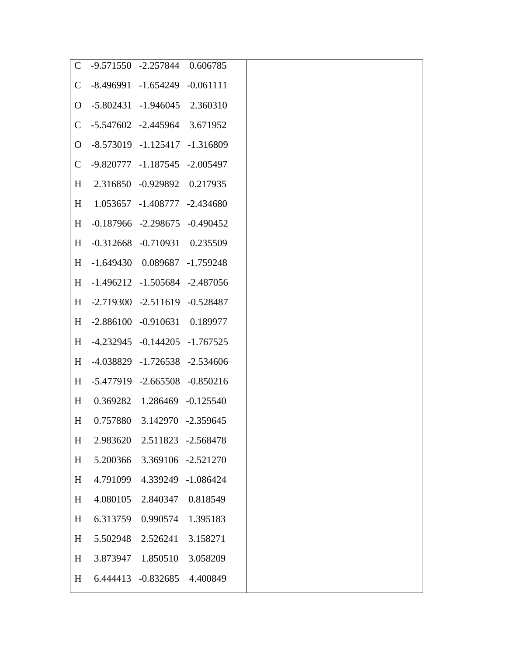| $\mathcal{C}$ | -9.571550 -2.257844 0.606785        |                                     |                    |
|---------------|-------------------------------------|-------------------------------------|--------------------|
| $\mathsf{C}$  | $-8.496991$ $-1.654249$ $-0.061111$ |                                     |                    |
|               | 0 -5.802431 -1.946045 2.360310      |                                     |                    |
| $\mathsf{C}$  | -5.547602 -2.445964 3.671952        |                                     |                    |
|               | 0 -8.573019 -1.125417 -1.316809     |                                     |                    |
| $\mathsf{C}$  | -9.820777 -1.187545 -2.005497       |                                     |                    |
| H             |                                     | 2.316850 -0.929892 0.217935         |                    |
| H             |                                     | 1.053657 -1.408777 -2.434680        |                    |
| H             |                                     | $-0.187966$ $-2.298675$ $-0.490452$ |                    |
| H             |                                     | $-0.312668$ $-0.710931$ $0.235509$  |                    |
| H             |                                     | $-1.649430$ $0.089687$ $-1.759248$  |                    |
|               | H -1.496212 -1.505684 -2.487056     |                                     |                    |
|               | H -2.719300 -2.511619 -0.528487     |                                     |                    |
|               | H -2.886100 -0.910631 0.189977      |                                     |                    |
|               | H -4.232945 -0.144205 -1.767525     |                                     |                    |
| H             |                                     | -4.038829 -1.726538 -2.534606       |                    |
| H             |                                     | -5.477919 -2.665508 -0.850216       |                    |
| H             |                                     | 0.369282 1.286469 -0.125540         |                    |
| H             |                                     | 0.757880 3.142970 -2.359645         |                    |
| H             | 2.983620                            |                                     | 2.511823 -2.568478 |
| H             | 5.200366                            |                                     | 3.369106 -2.521270 |
| H             | 4.791099                            | 4.339249                            | $-1.086424$        |
| H             | 4.080105                            | 2.840347                            | 0.818549           |
| H             | 6.313759                            | 0.990574                            | 1.395183           |
| H             | 5.502948                            | 2.526241                            | 3.158271           |
| H             | 3.873947                            | 1.850510                            | 3.058209           |
| H             | 6.444413                            | -0.832685                           | 4.400849           |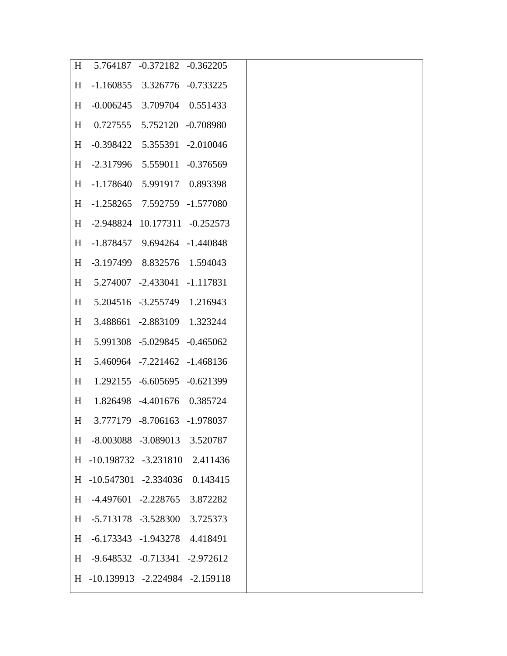| H |                                                                                                                                                                                                                                                                                                                                                                                                                                                                                                                                                                                                                                                                                                                                                                                                                                                                                                 |
|---|-------------------------------------------------------------------------------------------------------------------------------------------------------------------------------------------------------------------------------------------------------------------------------------------------------------------------------------------------------------------------------------------------------------------------------------------------------------------------------------------------------------------------------------------------------------------------------------------------------------------------------------------------------------------------------------------------------------------------------------------------------------------------------------------------------------------------------------------------------------------------------------------------|
|   |                                                                                                                                                                                                                                                                                                                                                                                                                                                                                                                                                                                                                                                                                                                                                                                                                                                                                                 |
|   |                                                                                                                                                                                                                                                                                                                                                                                                                                                                                                                                                                                                                                                                                                                                                                                                                                                                                                 |
|   |                                                                                                                                                                                                                                                                                                                                                                                                                                                                                                                                                                                                                                                                                                                                                                                                                                                                                                 |
|   |                                                                                                                                                                                                                                                                                                                                                                                                                                                                                                                                                                                                                                                                                                                                                                                                                                                                                                 |
|   |                                                                                                                                                                                                                                                                                                                                                                                                                                                                                                                                                                                                                                                                                                                                                                                                                                                                                                 |
|   |                                                                                                                                                                                                                                                                                                                                                                                                                                                                                                                                                                                                                                                                                                                                                                                                                                                                                                 |
|   |                                                                                                                                                                                                                                                                                                                                                                                                                                                                                                                                                                                                                                                                                                                                                                                                                                                                                                 |
|   |                                                                                                                                                                                                                                                                                                                                                                                                                                                                                                                                                                                                                                                                                                                                                                                                                                                                                                 |
|   |                                                                                                                                                                                                                                                                                                                                                                                                                                                                                                                                                                                                                                                                                                                                                                                                                                                                                                 |
|   |                                                                                                                                                                                                                                                                                                                                                                                                                                                                                                                                                                                                                                                                                                                                                                                                                                                                                                 |
|   |                                                                                                                                                                                                                                                                                                                                                                                                                                                                                                                                                                                                                                                                                                                                                                                                                                                                                                 |
| H |                                                                                                                                                                                                                                                                                                                                                                                                                                                                                                                                                                                                                                                                                                                                                                                                                                                                                                 |
| H |                                                                                                                                                                                                                                                                                                                                                                                                                                                                                                                                                                                                                                                                                                                                                                                                                                                                                                 |
| H |                                                                                                                                                                                                                                                                                                                                                                                                                                                                                                                                                                                                                                                                                                                                                                                                                                                                                                 |
| H |                                                                                                                                                                                                                                                                                                                                                                                                                                                                                                                                                                                                                                                                                                                                                                                                                                                                                                 |
|   |                                                                                                                                                                                                                                                                                                                                                                                                                                                                                                                                                                                                                                                                                                                                                                                                                                                                                                 |
|   |                                                                                                                                                                                                                                                                                                                                                                                                                                                                                                                                                                                                                                                                                                                                                                                                                                                                                                 |
| H |                                                                                                                                                                                                                                                                                                                                                                                                                                                                                                                                                                                                                                                                                                                                                                                                                                                                                                 |
|   | 2.411436                                                                                                                                                                                                                                                                                                                                                                                                                                                                                                                                                                                                                                                                                                                                                                                                                                                                                        |
|   | 0.143415                                                                                                                                                                                                                                                                                                                                                                                                                                                                                                                                                                                                                                                                                                                                                                                                                                                                                        |
|   | 3.872282                                                                                                                                                                                                                                                                                                                                                                                                                                                                                                                                                                                                                                                                                                                                                                                                                                                                                        |
|   | 3.725373                                                                                                                                                                                                                                                                                                                                                                                                                                                                                                                                                                                                                                                                                                                                                                                                                                                                                        |
|   |                                                                                                                                                                                                                                                                                                                                                                                                                                                                                                                                                                                                                                                                                                                                                                                                                                                                                                 |
|   |                                                                                                                                                                                                                                                                                                                                                                                                                                                                                                                                                                                                                                                                                                                                                                                                                                                                                                 |
|   |                                                                                                                                                                                                                                                                                                                                                                                                                                                                                                                                                                                                                                                                                                                                                                                                                                                                                                 |
|   | 5.764187 -0.372182 -0.362205<br>$-1.160855$ 3.326776 $-0.733225$<br>H -0.006245 3.709704 0.551433<br>H 0.727555 5.752120 -0.708980<br>H -0.398422 5.355391 -2.010046<br>H -2.317996 5.559011 -0.376569<br>H -1.178640 5.991917 0.893398<br>H -1.258265 7.592759 -1.577080<br>H -2.948824 10.177311 -0.252573<br>H -1.878457 9.694264 -1.440848<br>H -3.197499 8.832576 1.594043<br>H 5.274007 -2.433041 -1.117831<br>H 5.204516 -3.255749 1.216943<br>3.488661 -2.883109 1.323244<br>5.991308 -5.029845 -0.465062<br>5.460964 -7.221462 -1.468136<br>1.292155 -6.605695 -0.621399<br>1.826498 -4.401676 0.385724<br>3.777179 -8.706163 -1.978037<br>-8.003088 -3.089013 3.520787<br>H -10.198732 -3.231810<br>H -10.547301 -2.334036<br>$-4.497601 -2.228765$<br>-5.713178 -3.528300<br>$-6.173343$ $-1.943278$ $4.418491$<br>-9.648532 -0.713341 -2.972612<br>H -10.139913 -2.224984 -2.159118 |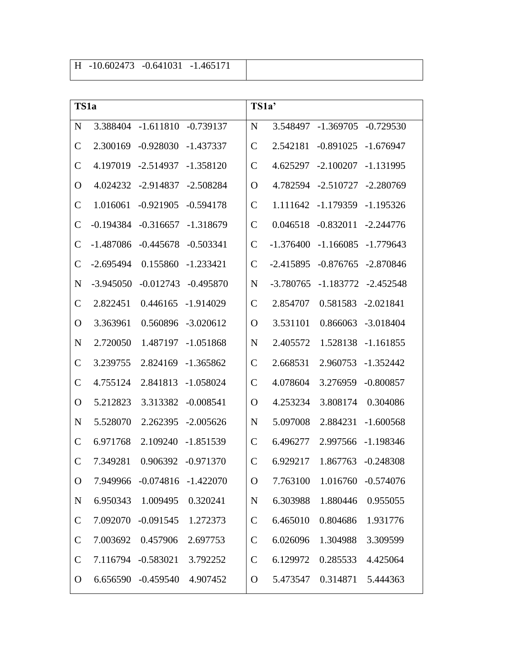| TS1a          |             |             |             | TS1a'         |             |                    |             |
|---------------|-------------|-------------|-------------|---------------|-------------|--------------------|-------------|
| $\mathbf N$   | 3.388404    | $-1.611810$ | $-0.739137$ | N             | 3.548497    | $-1.369705$        | $-0.729530$ |
| $\mathbf C$   | 2.300169    | $-0.928030$ | $-1.437337$ | $\mathcal{C}$ | 2.542181    | $-0.891025$        | $-1.676947$ |
| $\mathbf C$   | 4.197019    | $-2.514937$ | $-1.358120$ | $\mathcal{C}$ | 4.625297    | $-2.100207$        | $-1.131995$ |
| O             | 4.024232    | $-2.914837$ | $-2.508284$ | $\Omega$      | 4.782594    | $-2.510727$        | $-2.280769$ |
| $\mathcal{C}$ | 1.016061    | $-0.921905$ | $-0.594178$ | $\mathcal{C}$ |             | 1.111642 -1.179359 | $-1.195326$ |
| $\mathcal{C}$ | $-0.194384$ | $-0.316657$ | $-1.318679$ | $\mathcal{C}$ | 0.046518    | $-0.832011$        | $-2.244776$ |
| $\mathcal{C}$ | $-1.487086$ | $-0.445678$ | $-0.503341$ | $\mathcal{C}$ | $-1.376400$ | $-1.166085$        | -1.779643   |
| $\mathsf{C}$  | $-2.695494$ | 0.155860    | $-1.233421$ | $\mathbf C$   | $-2.415895$ | $-0.876765$        | -2.870846   |
| $\mathbf N$   | $-3.945050$ | $-0.012743$ | $-0.495870$ | N             | $-3.780765$ | $-1.183772$        | -2.452548   |
| $\mathsf{C}$  | 2.822451    | 0.446165    | $-1.914029$ | $\mathcal{C}$ | 2.854707    | 0.581583           | $-2.021841$ |
| O             | 3.363961    | 0.560896    | $-3.020612$ | $\Omega$      | 3.531101    | 0.866063           | $-3.018404$ |
| $\mathbf N$   | 2.720050    | 1.487197    | $-1.051868$ | N             | 2.405572    | 1.528138           | $-1.161855$ |
| $\mathsf{C}$  | 3.239755    | 2.824169    | $-1.365862$ | $\mathsf{C}$  | 2.668531    | 2.960753           | $-1.352442$ |
| $\mathsf{C}$  | 4.755124    | 2.841813    | $-1.058024$ | $\mathcal{C}$ | 4.078604    | 3.276959           | $-0.800857$ |
| O             | 5.212823    | 3.313382    | $-0.008541$ | $\Omega$      | 4.253234    | 3.808174           | 0.304086    |
| $\mathbf N$   | 5.528070    | 2.262395    | $-2.005626$ | N             | 5.097008    | 2.884231           | $-1.600568$ |
| $\mathcal{C}$ | 6.971768    | 2.109240    | $-1.851539$ | $\mathcal{C}$ | 6.496277    | 2.997566           | $-1.198346$ |
| $\mathsf{C}$  | 7.349281    | 0.906392    | $-0.971370$ | $\mathcal{C}$ | 6.929217    | 1.867763           | $-0.248308$ |
| $\mathbf{O}$  | 7.949966    | $-0.074816$ | $-1.422070$ | $\mathbf{O}$  | 7.763100    | 1.016760           | $-0.574076$ |
| $\mathbf N$   | 6.950343    | 1.009495    | 0.320241    | N             | 6.303988    | 1.880446           | 0.955055    |
| $\mathbf C$   | 7.092070    | $-0.091545$ | 1.272373    | $\mathcal{C}$ | 6.465010    | 0.804686           | 1.931776    |
| $\mathsf{C}$  | 7.003692    | 0.457906    | 2.697753    | $\mathcal{C}$ | 6.026096    | 1.304988           | 3.309599    |
| $\mathsf{C}$  | 7.116794    | $-0.583021$ | 3.792252    | $\mathcal{C}$ | 6.129972    | 0.285533           | 4.425064    |
| $\mathbf{O}$  | 6.656590    | $-0.459540$ | 4.907452    | $\mathbf{O}$  | 5.473547    | 0.314871           | 5.444363    |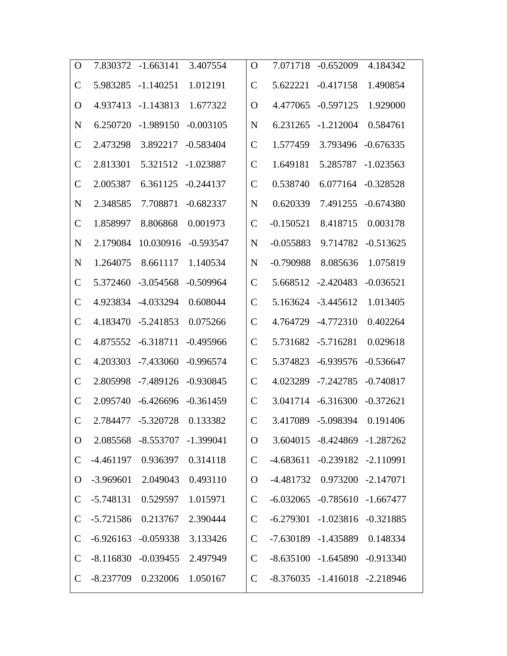| $\Omega$      | 7.830372    | $-1.663141$                   | 3.407554    | O              | 7.071718    | $-0.652009$                         | 4.184342    |
|---------------|-------------|-------------------------------|-------------|----------------|-------------|-------------------------------------|-------------|
| $\mathcal{C}$ | 5.983285    | $-1.140251$                   | 1.012191    | $\mathcal{C}$  | 5.622221    | $-0.417158$                         | 1.490854    |
| O             | 4.937413    | $-1.143813$                   | 1.677322    | O              | 4.477065    | $-0.597125$                         | 1.929000    |
| N             | 6.250720    | $-1.989150$                   | $-0.003105$ | N              | 6.231265    | $-1.212004$                         | 0.584761    |
| $\mathsf{C}$  | 2.473298    | 3.892217                      | $-0.583404$ | $\mathcal{C}$  | 1.577459    | 3.793496                            | $-0.676335$ |
| $\mathsf{C}$  | 2.813301    | 5.321512                      | $-1.023887$ | $\mathcal{C}$  | 1.649181    | 5.285787                            | $-1.023563$ |
| $\mathsf{C}$  | 2.005387    | 6.361125                      | $-0.244137$ | $\mathcal C$   | 0.538740    | 6.077164                            | $-0.328528$ |
| N             | 2.348585    | 7.708871                      | $-0.682337$ | N              | 0.620339    | 7.491255                            | $-0.674380$ |
| $\mathsf{C}$  | 1.858997    | 8.806868                      | 0.001973    | $\mathcal C$   | $-0.150521$ | 8.418715                            | 0.003178    |
| N             | 2.179084    | 10.030916                     | $-0.593547$ | N              | $-0.055883$ | 9.714782                            | $-0.513625$ |
| N             | 1.264075    | 8.661117                      | 1.140534    | N              | $-0.790988$ | 8.085636                            | 1.075819    |
| $\mathsf{C}$  | 5.372460    | $-3.054568$                   | $-0.509964$ | $\mathcal{C}$  | 5.668512    | $-2.420483$                         | $-0.036521$ |
| $\mathsf{C}$  | 4.923834    | $-4.033294$                   | 0.608044    | $\mathcal{C}$  | 5.163624    | $-3.445612$                         | 1.013405    |
| $\mathsf{C}$  | 4.183470    | $-5.241853$                   | 0.075266    | $\mathcal{C}$  | 4.764729    | $-4.772310$                         | 0.402264    |
| $\mathcal{C}$ | 4.875552    | $-6.318711$                   | $-0.495966$ | $\overline{C}$ | 5.731682    | $-5.716281$                         | 0.029618    |
| C             | 4.203303    | $-7.433060$                   | $-0.996574$ | $\overline{C}$ | 5.374823    | $-6.939576$                         | $-0.536647$ |
| $\mathcal{C}$ | 2.805998    | $-7.489126$                   | $-0.930845$ | $\mathcal{C}$  | 4.023289    | $-7.242785$                         | $-0.740817$ |
| $\mathcal{C}$ | 2.095740    | $-6.426696$                   | $-0.361459$ | $\mathcal{C}$  | 3.041714    | $-6.316300$                         | $-0.372621$ |
| $\mathsf{C}$  | 2.784477    | $-5.320728$                   | 0.133382    | $\mathcal{C}$  |             | 3.417089 -5.098394                  | 0.191406    |
| $\mathbf O$   |             | 2.085568 -8.553707 -1.399041  |             | $\mathbf{O}$   |             | 3.604015 -8.424869 -1.287262        |             |
| $\mathcal{C}$ | -4.461197   | 0.936397                      | 0.314118    | $\mathsf{C}$   |             | $-4.683611 -0.239182 -2.110991$     |             |
| $\rm{O}$      | $-3.969601$ | 2.049043                      | 0.493110    | $\mathbf{O}$   |             | -4.481732  0.973200  -2.147071      |             |
| $\mathsf{C}$  | $-5.748131$ | 0.529597                      | 1.015971    | $\mathcal{C}$  |             | $-6.032065$ $-0.785610$ $-1.667477$ |             |
| $\mathsf{C}$  | $-5.721586$ | 0.213767                      | 2.390444    | $\mathsf{C}$   |             | $-6.279301$ $-1.023816$ $-0.321885$ |             |
| $\mathsf{C}$  |             | $-6.926163 - 0.059338$        | 3.133426    | $\mathsf{C}$   |             | -7.630189 -1.435889 0.148334        |             |
| $\mathcal{C}$ |             | -8.116830 -0.039455 2.497949  |             | $\mathbf C$    |             | $-8.635100 -1.645890 -0.913340$     |             |
| $\mathcal{C}$ |             | -8.237709  0.232006  1.050167 |             | $\mathbf C$    |             | $-8.376035$ $-1.416018$ $-2.218946$ |             |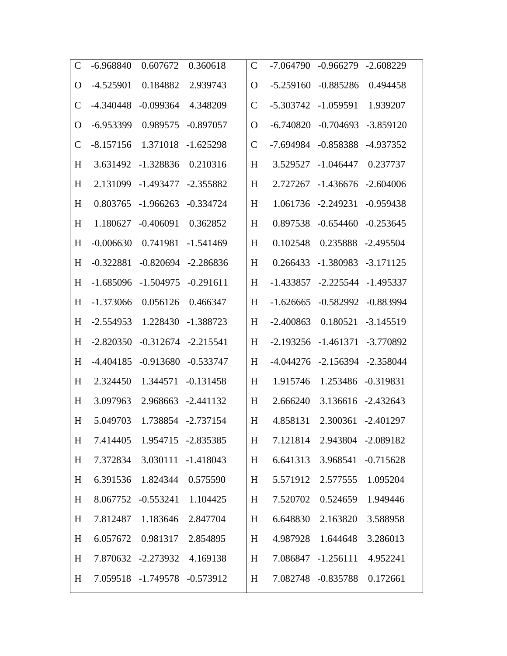| $\mathsf{C}$  | $-6.968840$ | 0.607672                      | 0.360618           | $\mathcal{C}$ | -7.064790   | $-0.966279$                 | $-2.608229$        |
|---------------|-------------|-------------------------------|--------------------|---------------|-------------|-----------------------------|--------------------|
| $\Omega$      | $-4.525901$ | 0.184882                      | 2.939743           | O             | $-5.259160$ | $-0.885286$                 | 0.494458           |
| $\mathcal{C}$ | $-4.340448$ | $-0.099364$                   | 4.348209           | $\mathcal{C}$ | $-5.303742$ | $-1.059591$                 | 1.939207           |
| O             | $-6.953399$ | 0.989575                      | $-0.897057$        | O             | $-6.740820$ | $-0.704693$                 | $-3.859120$        |
| $\mathsf{C}$  | $-8.157156$ | 1.371018                      | $-1.625298$        | $\mathcal{C}$ | $-7.694984$ | $-0.858388$                 | -4.937352          |
| H             | 3.631492    | $-1.328836$                   | 0.210316           | H             | 3.529527    | $-1.046447$                 | 0.237737           |
| H             | 2.131099    | $-1.493477$                   | $-2.355882$        | H             | 2.727267    | $-1.436676$                 | $-2.604006$        |
| H             | 0.803765    | $-1.966263$                   | $-0.334724$        | H             | 1.061736    | $-2.249231$                 | $-0.959438$        |
| H             | 1.180627    | $-0.406091$                   | 0.362852           | H             | 0.897538    | $-0.654460$                 | $-0.253645$        |
| H             | $-0.006630$ | 0.741981                      | $-1.541469$        | H             | 0.102548    | 0.235888                    | $-2.495504$        |
| H             | $-0.322881$ | $-0.820694$                   | $-2.286836$        | H             | 0.266433    | $-1.380983$                 | $-3.171125$        |
| H             | $-1.685096$ | $-1.504975$                   | $-0.291611$        | H             | $-1.433857$ | $-2.225544$                 | $-1.495337$        |
| H             | $-1.373066$ | 0.056126                      | 0.466347           | H             | $-1.626665$ | $-0.582992$                 | $-0.883994$        |
| H             | $-2.554953$ | 1.228430                      | $-1.388723$        | H             | $-2.400863$ | 0.180521                    | $-3.145519$        |
| H             | $-2.820350$ | $-0.312674$                   | $-2.215541$        | H             | $-2.193256$ | $-1.461371$                 | $-3.770892$        |
| H             | $-4.404185$ | $-0.913680$                   | $-0.533747$        | H             | $-4.044276$ | $-2.156394$                 | $-2.358044$        |
| H             | 2.324450    | 1.344571                      | $-0.131458$        | H             | 1.915746    | 1.253486                    | $-0.319831$        |
| H             | 3.097963    | 2.968663                      | $-2.441132$        | H             | 2.666240    | 3.136616                    | $-2.432643$        |
| H             | 5.049703    |                               | 1.738854 -2.737154 | H             | 4.858131    |                             | 2.300361 -2.401297 |
| H             |             | 7.414405  1.954715  -2.835385 |                    | H             |             | 7.121814 2.943804 -2.089182 |                    |
| H             | 7.372834    |                               | 3.030111 -1.418043 | H             | 6.641313    |                             | 3.968541 -0.715628 |
| H             |             | 6.391536 1.824344             | 0.575590           | H             |             | 5.571912 2.577555           | 1.095204           |
| H             |             | 8.067752 -0.553241 1.104425   |                    | H             | 7.520702    | 0.524659                    | 1.949446           |
| H             |             | 7.812487 1.183646             | 2.847704           | H             | 6.648830    | 2.163820                    | 3.588958           |
| H             |             | 6.057672 0.981317             | 2.854895           | H             |             | 4.987928 1.644648           | 3.286013           |
| H             |             | 7.870632 -2.273932 4.169138   |                    | H             |             | 7.086847 -1.256111          | 4.952241           |
| H             |             | 7.059518 -1.749578 -0.573912  |                    | H             |             | 7.082748 -0.835788          | 0.172661           |
|               |             |                               |                    |               |             |                             |                    |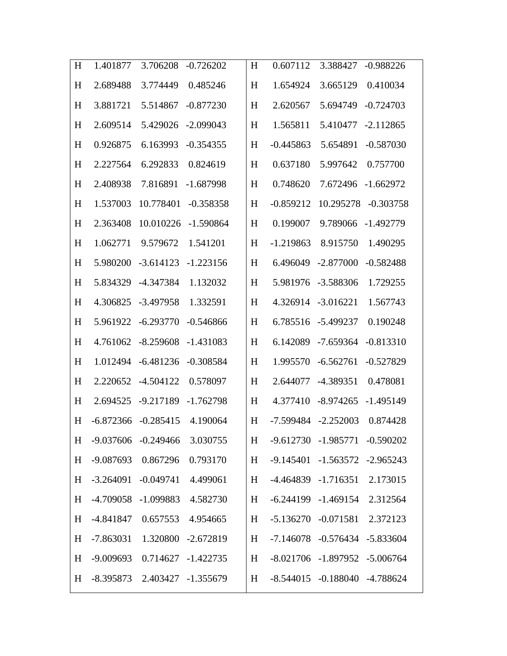| H | 1.401877    | 3.706208                         | $-0.726202$        | H | 0.607112                        | 3.388427                            | $-0.988226$        |
|---|-------------|----------------------------------|--------------------|---|---------------------------------|-------------------------------------|--------------------|
| H | 2.689488    | 3.774449                         | 0.485246           | H | 1.654924                        | 3.665129                            | 0.410034           |
| H | 3.881721    | 5.514867                         | $-0.877230$        | H | 2.620567                        | 5.694749                            | $-0.724703$        |
| H | 2.609514    | 5.429026                         | $-2.099043$        | H | 1.565811                        |                                     | 5.410477 -2.112865 |
| H | 0.926875    | 6.163993                         | $-0.354355$        | H | $-0.445863$                     | 5.654891                            | $-0.587030$        |
| H | 2.227564    | 6.292833                         | 0.824619           | H | 0.637180                        | 5.997642                            | 0.757700           |
| H | 2.408938    | 7.816891                         | $-1.687998$        | H | 0.748620                        | 7.672496                            | $-1.662972$        |
| H | 1.537003    | 10.778401                        | $-0.358358$        | H | $-0.859212$                     | 10.295278                           | $-0.303758$        |
| H | 2.363408    | 10.010226                        | $-1.590864$        | H | 0.199007                        | 9.789066                            | -1.492779          |
| H | 1.062771    | 9.579672                         | 1.541201           | H | $-1.219863$                     | 8.915750                            | 1.490295           |
| H | 5.980200    | $-3.614123$                      | $-1.223156$        | H | 6.496049                        | $-2.877000$                         | $-0.582488$        |
| H | 5.834329    | -4.347384                        | 1.132032           | H | 5.981976                        | $-3.588306$                         | 1.729255           |
| H | 4.306825    | $-3.497958$                      | 1.332591           | H | 4.326914                        | $-3.016221$                         | 1.567743           |
| H | 5.961922    | $-6.293770$                      | $-0.546866$        | H | 6.785516                        | -5.499237                           | 0.190248           |
| H | 4.761062    | $-8.259608$                      | $-1.431083$        | H | 6.142089                        | -7.659364                           | $-0.813310$        |
| H | 1.012494    | $-6.481236$                      | $-0.308584$        | H | 1.995570                        | $-6.562761$                         | $-0.527829$        |
| H | 2.220652    | $-4.504122$                      | 0.578097           | H | 2.644077                        | -4.389351                           | 0.478081           |
| H | 2.694525    | $-9.217189$                      | $-1.762798$        | H | 4.377410                        | $-8.974265$                         | $-1.495149$        |
| H | $-6.872366$ | $-0.285415$                      | 4.190064           | H |                                 | $-7.599484$ $-2.252003$             | 0.874428           |
| H |             | -9.037606 -0.249466 3.030755     |                    |   | H -9.612730 -1.985771 -0.590202 |                                     |                    |
| H |             | -9.087693 0.867296               | 0.793170           | H |                                 | $-9.145401 - 1.563572 - 2.965243$   |                    |
| H |             | $-3.264091$ $-0.049741$          | 4.499061           | H |                                 | -4.464839 -1.716351 2.173015        |                    |
| H |             | -4.709058 -1.099883              | 4.582730           | H |                                 | $-6.244199$ $-1.469154$ $2.312564$  |                    |
| H |             | $-4.841847$ 0.657553             | 4.954665           | H |                                 | -5.136270 -0.071581 2.372123        |                    |
| H |             | -7.863031  1.320800  -2.672819   |                    | H |                                 | $-7.146078$ $-0.576434$ $-5.833604$ |                    |
| H | $-9.009693$ |                                  | 0.714627 -1.422735 | H |                                 | -8.021706 -1.897952 -5.006764       |                    |
| H |             | $-8.395873$ 2.403427 $-1.355679$ |                    | H |                                 | $-8.544015$ $-0.188040$ $-4.788624$ |                    |
|   |             |                                  |                    |   |                                 |                                     |                    |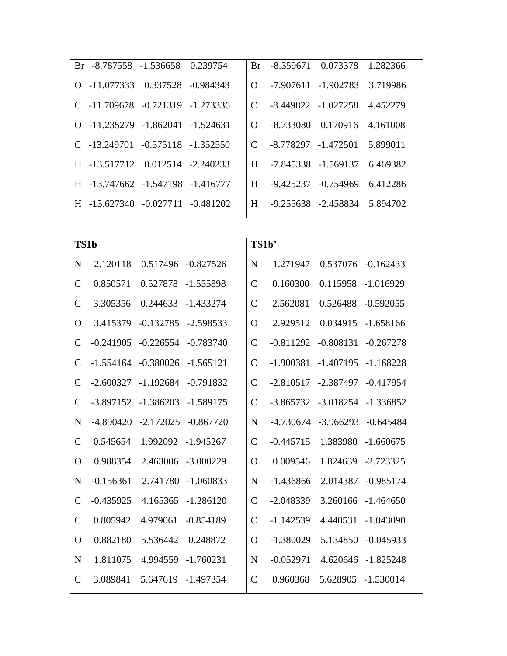| Br -8.787558 -1.536658 0.239754                |  |  | Br -8.359671 0.073378 1.282366       |  |
|------------------------------------------------|--|--|--------------------------------------|--|
| $Q = 11.077333 \quad 0.337528 \quad -0.984343$ |  |  | 0 -7.907611 -1.902783 3.719986       |  |
| $C$ -11.709678 -0.721319 -1.273336             |  |  | $C = 8.449822 - 1.027258$ 4.452279   |  |
| $Q$ -11.235279 -1.862041 -1.524631             |  |  | $\Omega$ -8.733080 0.170916 4.161008 |  |
| $C$ -13.249701 -0.575118 -1.352550             |  |  | C -8.778297 -1.472501 5.899011       |  |
| H -13.517712 0.012514 -2.240233                |  |  | H -7.845338 -1.569137 6.469382       |  |
| H -13.747662 -1.547198 -1.416777               |  |  | H -9.425237 -0.754969 6.412286       |  |
| $H = 13.627340 - 0.027711 - 0.481202$          |  |  | H -9.255638 -2.458834 5.894702       |  |

| TS1b          |             |             |             | TS1b'          |             |             |             |
|---------------|-------------|-------------|-------------|----------------|-------------|-------------|-------------|
| $\mathbf N$   | 2.120118    | 0.517496    | $-0.827526$ | N              | 1.271947    | 0.537076    | $-0.162433$ |
| $\mathcal{C}$ | 0.850571    | 0.527878    | $-1.555898$ | $\mathcal{C}$  | 0.160300    | 0.115958    | $-1.016929$ |
| $\mathcal{C}$ | 3.305356    | 0.244633    | $-1.433274$ | $\mathcal{C}$  | 2.562081    | 0.526488    | $-0.592055$ |
| $\Omega$      | 3.415379    | $-0.132785$ | $-2.598533$ | $\Omega$       | 2.929512    | 0.034915    | $-1.658166$ |
| $\mathcal{C}$ | $-0.241905$ | $-0.226554$ | $-0.783740$ | $\mathcal{C}$  | $-0.811292$ | $-0.808131$ | $-0.267278$ |
| $\mathcal{C}$ | $-1.554164$ | $-0.380026$ | $-1.565121$ | $\overline{C}$ | $-1.900381$ | $-1.407195$ | $-1.168228$ |
| $\mathcal{C}$ | $-2.600327$ | $-1.192684$ | $-0.791832$ | $\mathcal{C}$  | $-2.810517$ | $-2.387497$ | $-0.417954$ |
| $\mathcal{C}$ | $-3.897152$ | $-1.386203$ | $-1.589175$ | $\mathcal{C}$  | $-3.865732$ | $-3.018254$ | $-1.336852$ |
| N             | $-4.890420$ | $-2.172025$ | $-0.867720$ | $\mathbf N$    | $-4.730674$ | $-3.966293$ | $-0.645484$ |
| $\mathcal{C}$ | 0.545654    | 1.992092    | $-1.945267$ | $\mathcal{C}$  | $-0.445715$ | 1.383980    | $-1.660675$ |
| O             | 0.988354    | 2.463006    | $-3.000229$ | $\Omega$       | 0.009546    | 1.824639    | $-2.723325$ |
| N             | $-0.156361$ | 2.741780    | $-1.060833$ | N              | $-1.436866$ | 2.014387    | $-0.985174$ |
| $\mathcal{C}$ | $-0.435925$ | 4.165365    | $-1.286120$ | $\mathcal{C}$  | $-2.048339$ | 3.260166    | $-1.464650$ |
| $\mathbf C$   | 0.805942    | 4.979061    | $-0.854189$ | $\mathcal{C}$  | $-1.142539$ | 4.440531    | $-1.043090$ |
| $\mathbf O$   | 0.882180    | 5.536442    | 0.248872    | $\Omega$       | $-1.380029$ | 5.134850    | $-0.045933$ |
| $\mathbf N$   | 1.811075    | 4.994559    | $-1.760231$ | N              | $-0.052971$ | 4.620646    | $-1.825248$ |
| $\mathcal{C}$ | 3.089841    | 5.647619    | $-1.497354$ | $\mathcal{C}$  | 0.960368    | 5.628905    | $-1.530014$ |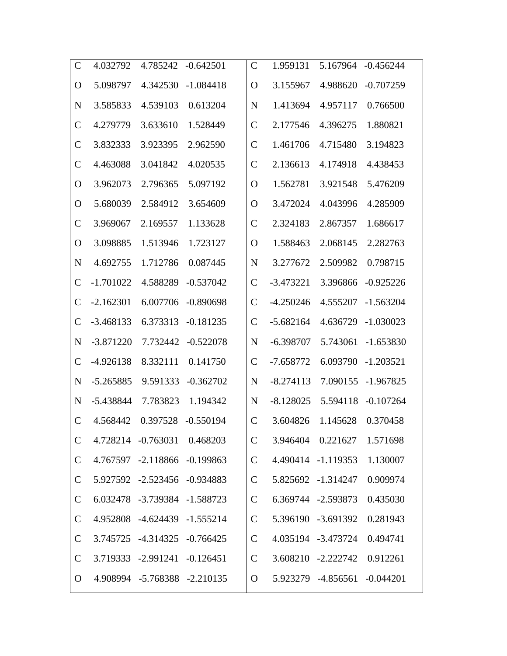| $\mathsf{C}$  | 4.032792    | 4.785242                     | $-0.642501$ | $\mathcal{C}$ | 1.959131    | 5.167964                     | $-0.456244$ |
|---------------|-------------|------------------------------|-------------|---------------|-------------|------------------------------|-------------|
| O             | 5.098797    | 4.342530                     | $-1.084418$ | O             | 3.155967    | 4.988620                     | $-0.707259$ |
| N             | 3.585833    | 4.539103                     | 0.613204    | N             | 1.413694    | 4.957117                     | 0.766500    |
| $\mathcal{C}$ | 4.279779    | 3.633610                     | 1.528449    | $\mathcal{C}$ | 2.177546    | 4.396275                     | 1.880821    |
| $\mathcal{C}$ | 3.832333    | 3.923395                     | 2.962590    | $\mathcal{C}$ | 1.461706    | 4.715480                     | 3.194823    |
| $\mathsf{C}$  | 4.463088    | 3.041842                     | 4.020535    | $\mathcal{C}$ | 2.136613    | 4.174918                     | 4.438453    |
| O             | 3.962073    | 2.796365                     | 5.097192    | O             | 1.562781    | 3.921548                     | 5.476209    |
| $\mathbf O$   | 5.680039    | 2.584912                     | 3.654609    | O             | 3.472024    | 4.043996                     | 4.285909    |
| $\mathcal{C}$ | 3.969067    | 2.169557                     | 1.133628    | $\mathcal{C}$ | 2.324183    | 2.867357                     | 1.686617    |
| O             | 3.098885    | 1.513946                     | 1.723127    | O             | 1.588463    | 2.068145                     | 2.282763    |
| N             | 4.692755    | 1.712786                     | 0.087445    | N             | 3.277672    | 2.509982                     | 0.798715    |
| $\mathcal{C}$ | $-1.701022$ | 4.588289                     | $-0.537042$ | $\mathcal{C}$ | $-3.473221$ | 3.396866                     | $-0.925226$ |
| $\mathcal{C}$ | $-2.162301$ | 6.007706                     | $-0.890698$ | $\mathsf{C}$  | $-4.250246$ | 4.555207                     | $-1.563204$ |
| $\mathcal{C}$ | $-3.468133$ | 6.373313                     | $-0.181235$ | $\mathcal{C}$ | $-5.682164$ | 4.636729                     | $-1.030023$ |
| N             | $-3.871220$ | 7.732442                     | $-0.522078$ | N             | $-6.398707$ | 5.743061                     | $-1.653830$ |
| $\mathcal{C}$ | $-4.926138$ | 8.332111                     | 0.141750    | $\mathcal{C}$ | $-7.658772$ | 6.093790                     | $-1.203521$ |
| $\mathbf N$   | $-5.265885$ | 9.591333                     | $-0.362702$ | $\mathbf N$   | $-8.274113$ | 7.090155                     | $-1.967825$ |
| N             | -5.438844   | 7.783823                     | 1.194342    | N             | $-8.128025$ | 5.594118                     | $-0.107264$ |
| $\mathsf{C}$  | 4.568442    | 0.397528                     | $-0.550194$ | $\mathcal{C}$ | 3.604826    | 1.145628                     | 0.370458    |
| $\mathsf{C}$  |             | 4.728214 -0.763031 0.468203  |             | $\mathsf{C}$  |             | 3.946404  0.221627  1.571698 |             |
| $\mathsf{C}$  |             | 4.767597 -2.118866 -0.199863 |             | $\mathcal{C}$ |             | 4.490414 -1.119353           | 1.130007    |
| $\mathsf{C}$  |             | 5.927592 -2.523456 -0.934883 |             | $\mathsf{C}$  |             | 5.825692 -1.314247           | 0.909974    |
| $\mathsf{C}$  |             | 6.032478 -3.739384 -1.588723 |             | $\mathsf{C}$  |             | 6.369744 -2.593873           | 0.435030    |
| $\mathsf{C}$  |             | 4.952808 -4.624439 -1.555214 |             | $\mathsf{C}$  |             | 5.396190 -3.691392           | 0.281943    |
| $\mathsf{C}$  |             | 3.745725 -4.314325 -0.766425 |             | $\mathcal{C}$ |             | 4.035194 -3.473724 0.494741  |             |
| $\mathsf{C}$  |             | 3.719333 -2.991241 -0.126451 |             | $\mathbf C$   |             | 3.608210 -2.222742 0.912261  |             |
| $\Omega$      |             | 4.908994 -5.768388 -2.210135 |             | $\Omega$      |             | 5.923279 -4.856561 -0.044201 |             |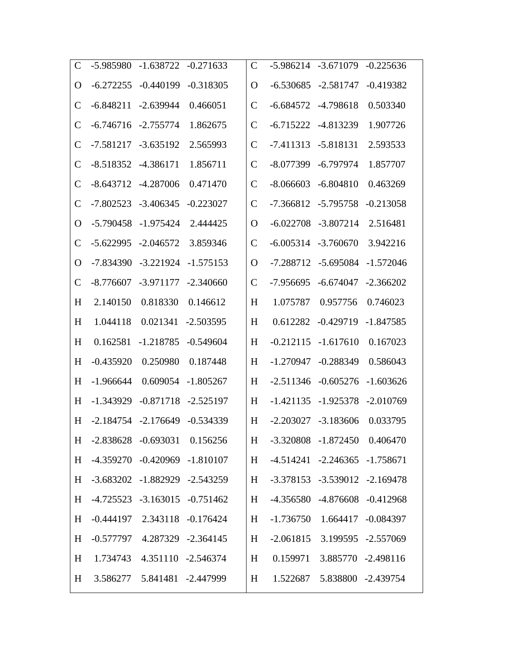| $\mathsf{C}$    | -5.985980   | $-1.638722$                         | $-0.271633$ | $\mathcal{C}$ | $-5.986214$                    | $-3.671079$                         | $-0.225636$        |
|-----------------|-------------|-------------------------------------|-------------|---------------|--------------------------------|-------------------------------------|--------------------|
| $\mathbf O$     | $-6.272255$ | $-0.440199$                         | $-0.318305$ | O             | $-6.530685$                    | $-2.581747$                         | $-0.419382$        |
| $\mathcal{C}$   | $-6.848211$ | $-2.639944$                         | 0.466051    | $\mathcal{C}$ | $-6.684572$                    | -4.798618                           | 0.503340           |
| $\mathcal{C}$   | $-6.746716$ | $-2.755774$                         | 1.862675    | $\mathcal{C}$ | $-6.715222$                    | $-4.813239$                         | 1.907726           |
| $\mathcal{C}$   | $-7.581217$ | $-3.635192$                         | 2.565993    | $\mathcal{C}$ | $-7.411313$                    | $-5.818131$                         | 2.593533           |
| $\mathcal{C}$   | $-8.518352$ | $-4.386171$                         | 1.856711    | $\mathcal{C}$ | $-8.077399$                    | $-6.797974$                         | 1.857707           |
| $\mathcal{C}$   | $-8.643712$ | -4.287006                           | 0.471470    | $\mathcal C$  | $-8.066603$                    | $-6.804810$                         | 0.463269           |
| $\mathcal{C}$   | $-7.802523$ | $-3.406345$                         | $-0.223027$ | $\mathcal{C}$ | $-7.366812$                    | $-5.795758$                         | $-0.213058$        |
| O               | $-5.790458$ | $-1.975424$                         | 2.444425    | O             | $-6.022708$                    | $-3.807214$                         | 2.516481           |
| $\mathcal{C}$   | $-5.622995$ | $-2.046572$                         | 3.859346    | $\mathcal C$  | $-6.005314$                    | $-3.760670$                         | 3.942216           |
| O               | -7.834390   | $-3.221924$                         | $-1.575153$ | O             | $-7.288712$                    | $-5.695084$                         | $-1.572046$        |
| $\mathcal{C}$   | $-8.776607$ | $-3.971177$                         | $-2.340660$ | $\mathcal{C}$ | -7.956695                      | $-6.674047$                         | $-2.366202$        |
| H               | 2.140150    | 0.818330                            | 0.146612    | H             | 1.075787                       | 0.957756                            | 0.746023           |
| H               | 1.044118    | 0.021341                            | $-2.503595$ | H             | 0.612282                       | $-0.429719$                         | $-1.847585$        |
| H               | 0.162581    | $-1.218785$                         | $-0.549604$ | H             | $-0.212115$                    | $-1.617610$                         | 0.167023           |
| H               | $-0.435920$ | 0.250980                            | 0.187448    | H             | $-1.270947$                    | $-0.288349$                         | 0.586043           |
| H               | $-1.966644$ | 0.609054                            | $-1.805267$ | H             | $-2.511346$                    | $-0.605276$                         | $-1.603626$        |
| H               | $-1.343929$ | $-0.871718$                         | $-2.525197$ | H             | $-1.421135$                    | $-1.925378$                         | $-2.010769$        |
| H               |             | $-2.184754$ $-2.176649$             | $-0.534339$ | H             |                                | $-2.203027$ $-3.183606$             | 0.033795           |
| $H_{\parallel}$ |             | $-2.838628$ $-0.693031$ $0.156256$  |             |               | H -3.320808 -1.872450 0.406470 |                                     |                    |
| H               |             | -4.359270 -0.420969 -1.810107       |             | H             |                                | $-4.514241 -2.246365 -1.758671$     |                    |
| H               |             | $-3.683202$ $-1.882929$ $-2.543259$ |             | H             |                                | $-3.378153$ $-3.539012$ $-2.169478$ |                    |
| H               |             | $-4.725523$ $-3.163015$ $-0.751462$ |             | H             |                                | -4.356580 -4.876608 -0.412968       |                    |
| H               |             | $-0.444197$ 2.343118 $-0.176424$    |             | H             |                                | $-1.736750$ $1.664417$ $-0.084397$  |                    |
| H               |             | $-0.577797$ $4.287329$ $-2.364145$  |             | H             |                                | $-2.061815$ 3.199595 $-2.557069$    |                    |
| H               |             | 1.734743 4.351110 -2.546374         |             | H             |                                | 0.159971 3.885770 -2.498116         |                    |
| H               |             | 3.586277   5.841481   -2.447999     |             | H             | 1.522687                       |                                     | 5.838800 -2.439754 |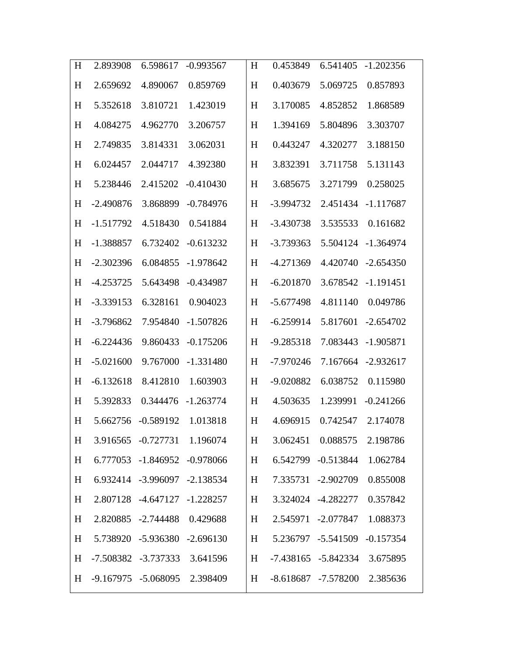| H | 2.893908    | 6.598617                     | $-0.993567$ | H | 0.453849    | 6.541405                     | $-1.202356$ |
|---|-------------|------------------------------|-------------|---|-------------|------------------------------|-------------|
| H | 2.659692    | 4.890067                     | 0.859769    | H | 0.403679    | 5.069725                     | 0.857893    |
| H | 5.352618    | 3.810721                     | 1.423019    | H | 3.170085    | 4.852852                     | 1.868589    |
| H | 4.084275    | 4.962770                     | 3.206757    | H | 1.394169    | 5.804896                     | 3.303707    |
| H | 2.749835    | 3.814331                     | 3.062031    | H | 0.443247    | 4.320277                     | 3.188150    |
| H | 6.024457    | 2.044717                     | 4.392380    | H | 3.832391    | 3.711758                     | 5.131143    |
| H | 5.238446    | 2.415202                     | $-0.410430$ | H | 3.685675    | 3.271799                     | 0.258025    |
| H | $-2.490876$ | 3.868899                     | $-0.784976$ | H | $-3.994732$ | 2.451434                     | $-1.117687$ |
| H | $-1.517792$ | 4.518430                     | 0.541884    | H | $-3.430738$ | 3.535533                     | 0.161682    |
| H | $-1.388857$ | 6.732402                     | $-0.613232$ | H | $-3.739363$ | 5.504124                     | $-1.364974$ |
| H | $-2.302396$ | 6.084855                     | $-1.978642$ | H | $-4.271369$ | 4.420740                     | $-2.654350$ |
| H | $-4.253725$ | 5.643498                     | $-0.434987$ | H | $-6.201870$ | 3.678542                     | $-1.191451$ |
| H | $-3.339153$ | 6.328161                     | 0.904023    | H | $-5.677498$ | 4.811140                     | 0.049786    |
| H | $-3.796862$ | 7.954840                     | $-1.507826$ | H | $-6.259914$ | 5.817601                     | $-2.654702$ |
| H | $-6.224436$ | 9.860433                     | $-0.175206$ | H | $-9.285318$ | 7.083443                     | $-1.905871$ |
| H | $-5.021600$ | 9.767000                     | $-1.331480$ | H | $-7.970246$ | 7.167664                     | $-2.932617$ |
| H | $-6.132618$ | 8.412810                     | 1.603903    | H | $-9.020882$ | 6.038752                     | 0.115980    |
| H | 5.392833    | 0.344476                     | $-1.263774$ | H | 4.503635    | 1.239991                     | $-0.241266$ |
| H | 5.662756    | $-0.589192$                  | 1.013818    | H | 4.696915    | 0.742547                     | 2.174078    |
| H |             | 3.916565 -0.727731 1.196074  |             | H |             | 3.062451  0.088575  2.198786 |             |
| H |             | 6.777053 -1.846952 -0.978066 |             | H |             | 6.542799 -0.513844 1.062784  |             |
| H |             | 6.932414 -3.996097 -2.138534 |             | H |             | 7.335731 -2.902709           | 0.855008    |
| H |             | 2.807128 -4.647127 -1.228257 |             | H |             | 3.324024 -4.282277 0.357842  |             |
| H |             | 2.820885 -2.744488 0.429688  |             | H |             | 2.545971 -2.077847 1.088373  |             |
| H |             | 5.738920 -5.936380 -2.696130 |             | H |             | 5.236797 -5.541509 -0.157354 |             |
| H |             | -7.508382 -3.737333 3.641596 |             | H |             | -7.438165 -5.842334 3.675895 |             |
| H |             | -9.167975 -5.068095 2.398409 |             | H |             | -8.618687 -7.578200 2.385636 |             |
|   |             |                              |             |   |             |                              |             |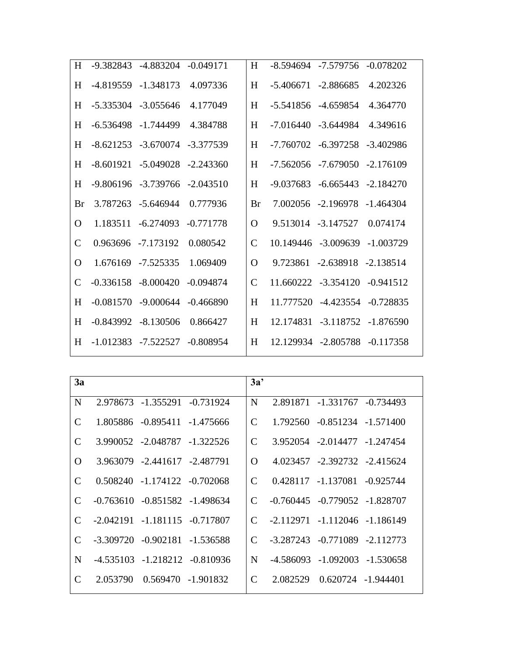| H             | -9.382843 -4.883204 -0.049171       |             | H             | -8.594694 -7.579756 -0.078202       |          |
|---------------|-------------------------------------|-------------|---------------|-------------------------------------|----------|
| H             | -4.819559 -1.348173                 | 4.097336    | H             | $-5.406671$ $-2.886685$             | 4.202326 |
| H             | $-5.335304$ $-3.055646$             | 4.177049    | H             | -5.541856 -4.659854                 | 4.364770 |
| H             | $-6.536498$ $-1.744499$             | 4.384788    | H             | $-7.016440 - 3.644984$              | 4.349616 |
| H             | $-8.621253 - 3.670074 - 3.377539$   |             | H             | -7.760702 -6.397258 -3.402986       |          |
| H             | $-8.601921$ $-5.049028$ $-2.243360$ |             | H             | $-7.562056$ $-7.679050$ $-2.176109$ |          |
| H             | $-9.806196$ $-3.739766$ $-2.043510$ |             | H             | $-9.037683$ $-6.665443$ $-2.184270$ |          |
| Br            | 3.787263 -5.646944                  | 0.777936    | Br            | 7.002056 -2.196978 -1.464304        |          |
| O             | 1.183511 -6.274093 -0.771778        |             | $\Omega$      | 9.513014 -3.147527                  | 0.074174 |
| $\mathcal{C}$ | 0.963696 -7.173192                  | 0.080542    | $\mathcal{C}$ | 10.149446 -3.009639 -1.003729       |          |
| O             | 1.676169 -7.525335                  | 1.069409    | $\Omega$      | 9.723861 -2.638918 -2.138514        |          |
| $\mathcal{C}$ | $-0.336158 - 8.000420$              | -0.094874   | $\mathcal{C}$ | 11.660222 -3.354120 -0.941512       |          |
| H             | $-0.081570 - 9.000644 - 0.466890$   |             | H             | 11.777520 -4.423554 -0.728835       |          |
| H             | $-0.843992$ $-8.130506$             | 0.866427    | H             | 12.174831 -3.118752 -1.876590       |          |
| H             | $-1.012383$ $-7.522527$             | $-0.808954$ | H             | 12.129934 -2.805788 -0.117358       |          |
|               |                                     |             |               |                                     |          |

| 3a                          |                                     | 3a'      |                                     |                                     |  |
|-----------------------------|-------------------------------------|----------|-------------------------------------|-------------------------------------|--|
| N                           | 2.978673 -1.355291 -0.731924        | N        |                                     | 2.891871 -1.331767 -0.734493        |  |
| C                           | 1.805886 -0.895411 -1.475666        | C        |                                     | 1.792560 -0.851234 -1.571400        |  |
| $\mathcal{C}$               | 3.990052 -2.048787 -1.322526        | C        |                                     | 3.952054 -2.014477 -1.247454        |  |
| $\Omega$                    | 3.963079 -2.441617 -2.487791        | $\Omega$ |                                     | 4.023457 -2.392732 -2.415624        |  |
| C                           | $0.508240 -1.174122 -0.702068$      | C        |                                     | 0.428117 -1.137081 -0.925744        |  |
| $\mathcal{C}_{\mathcal{C}}$ | $-0.763610 - 0.851582 - 1.498634$   | C        | $-0.760445$ $-0.779052$ $-1.828707$ |                                     |  |
| C                           | $-2.042191$ $-1.181115$ $-0.717807$ | C        | -2.112971 -1.112046 -1.186149       |                                     |  |
| $\mathcal{C}$               | $-3.309720$ $-0.902181$ $-1.536588$ | C        | -3.287243 -0.771089 -2.112773       |                                     |  |
| N                           | $-4.535103$ $-1.218212$ $-0.810936$ | N        |                                     | $-4.586093$ $-1.092003$ $-1.530658$ |  |
| C                           | 2.053790  0.569470  -1.901832       | C        |                                     | 2.082529  0.620724  -1.944401       |  |
|                             |                                     |          |                                     |                                     |  |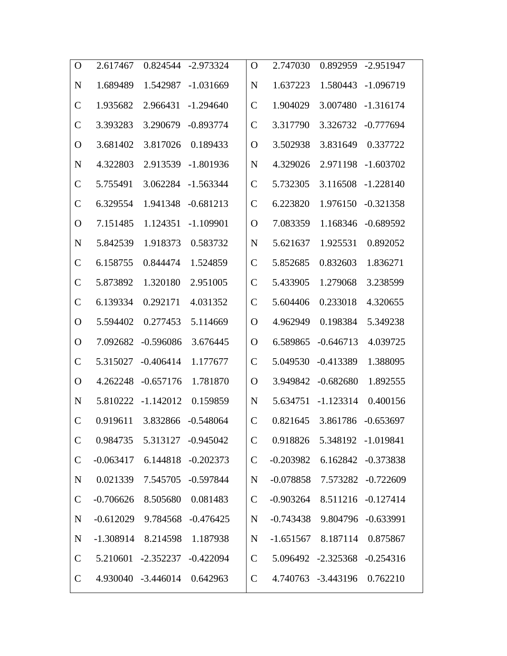| $\Omega$      | 2.617467    | 0.824544                      | $-2.973324$        | O             | 2.747030    | 0.892959                      | $-2.951947$        |
|---------------|-------------|-------------------------------|--------------------|---------------|-------------|-------------------------------|--------------------|
| N             | 1.689489    | 1.542987                      | $-1.031669$        | N             | 1.637223    | 1.580443                      | $-1.096719$        |
| $\mathcal{C}$ | 1.935682    | 2.966431                      | $-1.294640$        | $\mathcal{C}$ | 1.904029    | 3.007480                      | $-1.316174$        |
| $\mathcal{C}$ | 3.393283    | 3.290679                      | $-0.893774$        | $\mathcal{C}$ | 3.317790    | 3.326732                      | $-0.777694$        |
| $\rm{O}$      | 3.681402    | 3.817026                      | 0.189433           | $\mathbf O$   | 3.502938    | 3.831649                      | 0.337722           |
| N             | 4.322803    | 2.913539                      | $-1.801936$        | N             | 4.329026    | 2.971198                      | $-1.603702$        |
| $\mathcal{C}$ | 5.755491    | 3.062284                      | $-1.563344$        | $\mathcal{C}$ | 5.732305    | 3.116508                      | $-1.228140$        |
| $\mathcal{C}$ | 6.329554    | 1.941348                      | $-0.681213$        | $\mathcal{C}$ | 6.223820    | 1.976150                      | $-0.321358$        |
| O             | 7.151485    | 1.124351                      | $-1.109901$        | $\mathbf O$   | 7.083359    | 1.168346                      | $-0.689592$        |
| N             | 5.842539    | 1.918373                      | 0.583732           | N             | 5.621637    | 1.925531                      | 0.892052           |
| $\mathcal{C}$ | 6.158755    | 0.844474                      | 1.524859           | $\mathcal{C}$ | 5.852685    | 0.832603                      | 1.836271           |
| $\mathcal{C}$ | 5.873892    | 1.320180                      | 2.951005           | $\mathcal{C}$ | 5.433905    | 1.279068                      | 3.238599           |
| $\mathcal{C}$ | 6.139334    | 0.292171                      | 4.031352           | $\mathcal{C}$ | 5.604406    | 0.233018                      | 4.320655           |
| $\mathbf O$   | 5.594402    | 0.277453                      | 5.114669           | $\mathbf O$   | 4.962949    | 0.198384                      | 5.349238           |
| $\Omega$      | 7.092682    | $-0.596086$                   | 3.676445           | $\mathbf O$   | 6.589865    | $-0.646713$                   | 4.039725           |
| $\mathcal{C}$ | 5.315027    | $-0.406414$                   | 1.177677           | $\mathcal{C}$ | 5.049530    | $-0.413389$                   | 1.388095           |
| $\mathbf O$   | 4.262248    | $-0.657176$                   | 1.781870           | $\mathbf O$   | 3.949842    | $-0.682680$                   | 1.892555           |
| N             | 5.810222    | $-1.142012$                   | 0.159859           | N             | 5.634751    | $-1.123314$                   | 0.400156           |
| $\mathcal{C}$ | 0.919611    | 3.832866                      | $-0.548064$        | $\mathcal{C}$ | 0.821645    |                               | 3.861786 -0.653697 |
| $\mathcal{C}$ |             | 0.984735  5.313127  -0.945042 |                    | $\mathbf C$   | 0.918826    |                               | 5.348192 -1.019841 |
| $\mathsf{C}$  | $-0.063417$ |                               | 6.144818 -0.202373 | $\mathsf{C}$  | $-0.203982$ |                               | 6.162842 -0.373838 |
| $\mathbf N$   | 0.021339    |                               | 7.545705 -0.597844 | $\mathbf N$   | $-0.078858$ |                               | 7.573282 -0.722609 |
| $\mathbf C$   | $-0.706626$ | 8.505680                      | 0.081483           | $\mathcal{C}$ | $-0.903264$ |                               | 8.511216 -0.127414 |
| $\mathbf N$   | $-0.612029$ |                               | 9.784568 -0.476425 | $\mathbf N$   | -0.743438   |                               | 9.804796 -0.633991 |
| $\mathbf N$   |             | $-1.308914$ 8.214598 1.187938 |                    | $\mathbf N$   |             | $-1.651567$ 8.187114 0.875867 |                    |
| $\mathsf{C}$  |             | 5.210601 -2.352237 -0.422094  |                    | $\mathcal{C}$ |             | 5.096492 -2.325368 -0.254316  |                    |
| $\mathsf{C}$  |             | 4.930040 -3.446014 0.642963   |                    | $\mathbf C$   |             | 4.740763 -3.443196            | 0.762210           |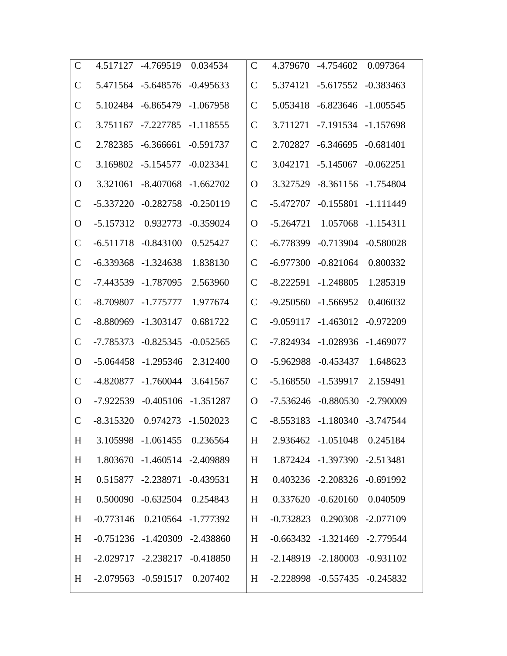| $\mathsf{C}$  | 4.517127    | $-4.769519$                         | 0.034534    | $\mathcal{C}$ | 4.379670    | $-4.754602$                         | 0.097364              |
|---------------|-------------|-------------------------------------|-------------|---------------|-------------|-------------------------------------|-----------------------|
| $\mathbf C$   | 5.471564    | $-5.648576$                         | $-0.495633$ | $\mathcal{C}$ | 5.374121    | $-5.617552$                         | $-0.383463$           |
| $\mathcal{C}$ | 5.102484    | $-6.865479$ $-1.067958$             |             | $\mathcal{C}$ | 5.053418    | $-6.823646$ $-1.005545$             |                       |
| $\mathcal{C}$ | 3.751167    | $-7.227785$                         | $-1.118555$ | $\mathcal{C}$ | 3.711271    | -7.191534 -1.157698                 |                       |
| $\mathcal{C}$ | 2.782385    | $-6.366661$                         | $-0.591737$ | $\mathcal{C}$ | 2.702827    | $-6.346695$                         | $-0.681401$           |
| $\mathcal{C}$ | 3.169802    | $-5.154577$                         | $-0.023341$ | $\mathcal{C}$ | 3.042171    | $-5.145067$                         | $-0.062251$           |
| O             | 3.321061    | $-8.407068$                         | $-1.662702$ | O             | 3.327529    |                                     | $-8.361156 -1.754804$ |
| $\mathcal{C}$ | $-5.337220$ | $-0.282758$                         | $-0.250119$ | $\mathcal C$  | $-5.472707$ | $-0.155801$                         | $-1.111449$           |
| $\mathbf O$   | $-5.157312$ | 0.932773                            | $-0.359024$ | O             | $-5.264721$ | 1.057068                            | $-1.154311$           |
| $\mathsf{C}$  | $-6.511718$ | $-0.843100$                         | 0.525427    | $\mathcal{C}$ | $-6.778399$ | $-0.713904$                         | $-0.580028$           |
| $\mathsf{C}$  | $-6.339368$ | $-1.324638$                         | 1.838130    | $\mathcal C$  | $-6.977300$ | $-0.821064$                         | 0.800332              |
| $\mathcal{C}$ | $-7.443539$ | $-1.787095$                         | 2.563960    | $\mathcal C$  | $-8.222591$ | $-1.248805$                         | 1.285319              |
| $\mathcal{C}$ | $-8.709807$ | $-1.775777$                         | 1.977674    | $\mathcal{C}$ | $-9.250560$ | $-1.566952$                         | 0.406032              |
| $\mathsf{C}$  | $-8.880969$ | $-1.303147$                         | 0.681722    | $\mathcal{C}$ | $-9.059117$ | $-1.463012$                         | $-0.972209$           |
| $\mathsf{C}$  | -7.785373   | $-0.825345$                         | $-0.052565$ | $\mathcal{C}$ | $-7.824934$ | $-1.028936$                         | $-1.469077$           |
| O             | $-5.064458$ | $-1.295346$                         | 2.312400    | O             | $-5.962988$ | $-0.453437$                         | 1.648623              |
| $\mathsf{C}$  | $-4.820877$ | $-1.760044$                         | 3.641567    | $\mathcal{C}$ | $-5.168550$ | $-1.539917$                         | 2.159491              |
| $\Omega$      | $-7.922539$ | $-0.405106$                         | $-1.351287$ | O             | $-7.536246$ | $-0.880530$                         | $-2.790009$           |
| $\mathsf{C}$  | $-8.315320$ | 0.974273                            | $-1.502023$ | $\mathcal{C}$ | $-8.553183$ | -1.180340 -3.747544                 |                       |
| H             |             | 3.105998 -1.061455 0.236564         |             | H             |             | 2.936462 -1.051048 0.245184         |                       |
| H             |             | 1.803670 -1.460514 -2.409889        |             | H             |             | 1.872424 -1.397390 -2.513481        |                       |
| H             |             | 0.515877 -2.238971 -0.439531        |             | H             |             | 0.403236 -2.208326 -0.691992        |                       |
| H             |             | 0.500090 -0.632504 0.254843         |             | H             |             | 0.337620 -0.620160 0.040509         |                       |
| H             |             | $-0.773146$ $0.210564$ $-1.777392$  |             | H             |             | $-0.732823$ $0.290308$ $-2.077109$  |                       |
| H             |             | $-0.751236 -1.420309 -2.438860$     |             | H             |             | $-0.663432 -1.321469 -2.779544$     |                       |
| H             |             | $-2.029717$ $-2.238217$ $-0.418850$ |             | H             |             | $-2.148919$ $-2.180003$ $-0.931102$ |                       |
| H             |             | $-2.079563$ $-0.591517$ $0.207402$  |             | H             |             | $-2.228998$ $-0.557435$ $-0.245832$ |                       |
|               |             |                                     |             |               |             |                                     |                       |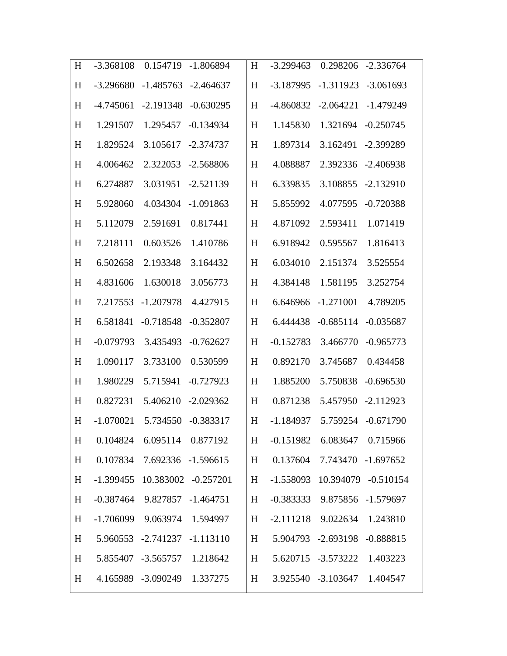| H | $-3.368108$ | 0.154719                         | $-1.806894$ | H | $-3.299463$ | 0.298206                       | $-2.336764$                   |
|---|-------------|----------------------------------|-------------|---|-------------|--------------------------------|-------------------------------|
| H | $-3.296680$ | $-1.485763$                      | $-2.464637$ | H | $-3.187995$ | $-1.311923$                    | $-3.061693$                   |
| H | $-4.745061$ | $-2.191348$                      | $-0.630295$ | H | -4.860832   | $-2.064221$                    | $-1.479249$                   |
| H | 1.291507    | 1.295457                         | $-0.134934$ | H | 1.145830    | 1.321694                       | $-0.250745$                   |
| H | 1.829524    | 3.105617                         | $-2.374737$ | H | 1.897314    | 3.162491                       | -2.399289                     |
| H | 4.006462    | 2.322053                         | $-2.568806$ | H | 4.088887    | 2.392336                       | $-2.406938$                   |
| H | 6.274887    | 3.031951                         | $-2.521139$ | H | 6.339835    | 3.108855                       | $-2.132910$                   |
| H | 5.928060    | 4.034304                         | $-1.091863$ | H | 5.855992    | 4.077595                       | $-0.720388$                   |
| H | 5.112079    | 2.591691                         | 0.817441    | H | 4.871092    | 2.593411                       | 1.071419                      |
| H | 7.218111    | 0.603526                         | 1.410786    | H | 6.918942    | 0.595567                       | 1.816413                      |
| H | 6.502658    | 2.193348                         | 3.164432    | H | 6.034010    | 2.151374                       | 3.525554                      |
| H | 4.831606    | 1.630018                         | 3.056773    | H | 4.384148    | 1.581195                       | 3.252754                      |
| H | 7.217553    | $-1.207978$                      | 4.427915    | H | 6.646966    | $-1.271001$                    | 4.789205                      |
| H | 6.581841    | $-0.718548$                      | $-0.352807$ | H | 6.444438    | $-0.685114$                    | $-0.035687$                   |
| H | $-0.079793$ | 3.435493                         | $-0.762627$ | H | $-0.152783$ | 3.466770                       | $-0.965773$                   |
| H | 1.090117    | 3.733100                         | 0.530599    | H | 0.892170    | 3.745687                       | 0.434458                      |
| H | 1.980229    | 5.715941                         | $-0.727923$ | H | 1.885200    | 5.750838                       | $-0.696530$                   |
| H | 0.827231    | 5.406210                         | $-2.029362$ | H | 0.871238    | 5.457950                       | $-2.112923$                   |
| H | $-1.070021$ | 5.734550                         | $-0.383317$ | H | $-1.184937$ |                                | 5.759254 -0.671790            |
| H |             | 0.104824 6.095114 0.877192       |             | H |             | $-0.151982$ 6.083647 0.715966  |                               |
| H |             | 0.107834 7.692336 -1.596615      |             | H |             | 0.137604 7.743470 -1.697652    |                               |
| H |             | -1.399455 10.383002 -0.257201    |             | H |             |                                | -1.558093 10.394079 -0.510154 |
| H |             | $-0.387464$ 9.827857 $-1.464751$ |             | H |             | -0.383333  9.875856  -1.579697 |                               |
| H |             | -1.706099 9.063974 1.594997      |             | H |             | $-2.111218$ 9.022634 1.243810  |                               |
| H |             | 5.960553 -2.741237 -1.113110     |             | H |             | 5.904793 -2.693198 -0.888815   |                               |
| H |             | 5.855407 -3.565757 1.218642      |             | H |             | 5.620715 -3.573222 1.403223    |                               |
| H |             | 4.165989 -3.090249 1.337275      |             | H |             | 3.925540 -3.103647 1.404547    |                               |
|   |             |                                  |             |   |             |                                |                               |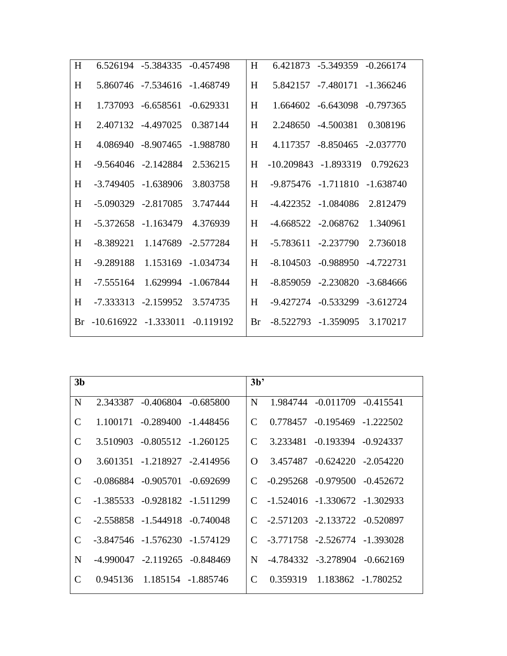| H |                         | 6.526194 -5.384335 -0.457498 |                    | H  |                         | 6.421873 -5.349359 -0.266174        |             |
|---|-------------------------|------------------------------|--------------------|----|-------------------------|-------------------------------------|-------------|
| H |                         | 5.860746 -7.534616 -1.468749 |                    | H  |                         | 5.842157 -7.480171 -1.366246        |             |
| H |                         | 1.737093 -6.658561           | $-0.629331$        | H  |                         | 1.664602 -6.643098                  | $-0.797365$ |
| H |                         | 2.407132 -4.497025           | 0.387144           | H  |                         | 2.248650 -4.500381                  | 0.308196    |
| H |                         | 4.086940 -8.907465           | -1.988780          | H  |                         | 4.117357 -8.850465 -2.037770        |             |
| H |                         | $-9.564046 - 2.142884$       | 2.536215           | H  | $-10.209843 - 1.893319$ |                                     | 0.792623    |
| H |                         | $-3.749405 - 1.638906$       | 3.803758           | H  |                         | $-9.875476$ $-1.711810$ $-1.638740$ |             |
| H |                         | $-5.090329$ $-2.817085$      | 3.747444           | H  |                         | -4.422352 -1.084086                 | 2.812479    |
| H |                         | $-5.372658 - 1.163479$       | 4.376939           | H  | $-4.668522 - 2.068762$  |                                     | 1.340961    |
| H | $-8.389221$             |                              | 1.147689 -2.577284 | H  | $-5.783611 - 2.237790$  |                                     | 2.736018    |
| H | -9.289188               |                              | 1.153169 -1.034734 | H  |                         | $-8.104503 - 0.988950$              | -4.722731   |
| H | $-7.555164$             |                              | 1.629994 -1.067844 | H  |                         | $-8.859059 - 2.230820$              | -3.684666   |
| H |                         | $-7.333313 - 2.159952$       | 3.574735           | H  |                         | -9.427274 -0.533299 -3.612724       |             |
|   | Br -10.616922 -1.333011 |                              | -0.119192          | Br |                         | $-8.522793$ $-1.359095$             | 3.170217    |
|   |                         |                              |                    |    |                         |                                     |             |

| 3 <sub>b</sub> |                                   |                                     | 3 <sup>b</sup>              |                                     |                                |  |
|----------------|-----------------------------------|-------------------------------------|-----------------------------|-------------------------------------|--------------------------------|--|
| N              |                                   | 2.343387 -0.406804 -0.685800        | N                           |                                     | 1.984744 - 0.011709 - 0.415541 |  |
| $\mathcal{C}$  |                                   | 1.100171 -0.289400 -1.448456        | C                           |                                     | 0.778457 -0.195469 -1.222502   |  |
| $\mathcal{C}$  |                                   | 3.510903 -0.805512 -1.260125        | C                           |                                     | 3.233481 -0.193394 -0.924337   |  |
| $\Omega$       |                                   | 3.601351 -1.218927 -2.414956        | $\Omega$                    |                                     | 3.457487 -0.624220 -2.054220   |  |
| C              |                                   | $-0.086884$ $-0.905701$ $-0.692699$ | $\mathcal{C}$               | $-0.295268$ $-0.979500$ $-0.452672$ |                                |  |
| $\mathcal{C}$  | $-1.385533 - 0.928182 - 1.511299$ |                                     | $\mathsf{C}$                | $-1.524016$ $-1.330672$ $-1.302933$ |                                |  |
| C              |                                   | $-2.558858 - 1.544918 - 0.740048$   | $\mathcal{C}_{\cdot}$       | -2.571203 -2.133722 -0.520897       |                                |  |
| C              |                                   | -3.847546 -1.576230 -1.574129       | $\mathcal{C}$               | -3.771758 -2.526774 -1.393028       |                                |  |
| N              |                                   | $-4.990047$ $-2.119265$ $-0.848469$ | N                           |                                     | -4.784332 -3.278904 -0.662169  |  |
| C              |                                   | 0.945136   1.185154   -1.885746     | $\mathcal{C}_{\mathcal{C}}$ |                                     | 0.359319 1.183862 -1.780252    |  |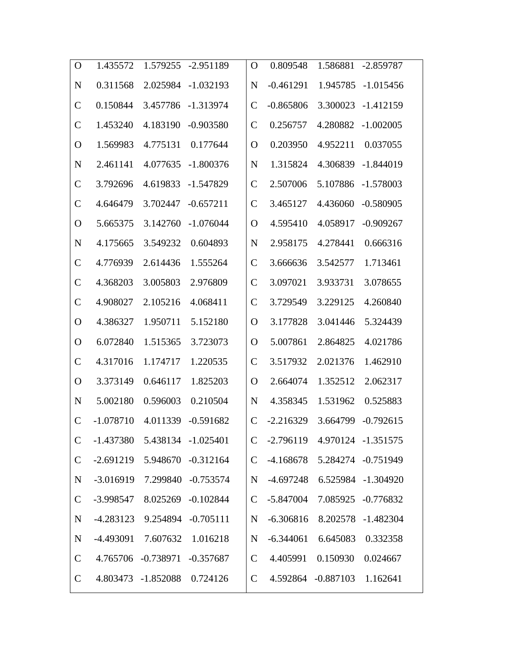| $\mathbf{O}$  | 1.435572    | 1.579255                     | $-2.951189$        | $\mathbf O$   | 0.809548    | 1.586881                     | $-2.859787$        |
|---------------|-------------|------------------------------|--------------------|---------------|-------------|------------------------------|--------------------|
| N             | 0.311568    | 2.025984                     | $-1.032193$        | N             | $-0.461291$ | 1.945785                     | $-1.015456$        |
| $\mathcal{C}$ | 0.150844    | 3.457786                     | $-1.313974$        | $\mathcal{C}$ | $-0.865806$ | 3.300023                     | $-1.412159$        |
| $\mathcal{C}$ | 1.453240    | 4.183190                     | $-0.903580$        | $\mathcal{C}$ | 0.256757    | 4.280882                     | $-1.002005$        |
| O             | 1.569983    | 4.775131                     | 0.177644           | $\mathbf O$   | 0.203950    | 4.952211                     | 0.037055           |
| N             | 2.461141    | 4.077635                     | $-1.800376$        | N             | 1.315824    | 4.306839                     | $-1.844019$        |
| $\mathcal{C}$ | 3.792696    | 4.619833                     | $-1.547829$        | $\mathsf{C}$  | 2.507006    | 5.107886                     | $-1.578003$        |
| $\mathcal{C}$ | 4.646479    | 3.702447                     | $-0.657211$        | $\mathsf{C}$  | 3.465127    | 4.436060                     | $-0.580905$        |
| O             | 5.665375    | 3.142760                     | $-1.076044$        | O             | 4.595410    | 4.058917                     | $-0.909267$        |
| N             | 4.175665    | 3.549232                     | 0.604893           | N             | 2.958175    | 4.278441                     | 0.666316           |
| $\mathcal{C}$ | 4.776939    | 2.614436                     | 1.555264           | $\mathsf{C}$  | 3.666636    | 3.542577                     | 1.713461           |
| $\mathcal{C}$ | 4.368203    | 3.005803                     | 2.976809           | $\mathcal C$  | 3.097021    | 3.933731                     | 3.078655           |
| $\mathcal{C}$ | 4.908027    | 2.105216                     | 4.068411           | $\mathcal{C}$ | 3.729549    | 3.229125                     | 4.260840           |
| O             | 4.386327    | 1.950711                     | 5.152180           | $\Omega$      | 3.177828    | 3.041446                     | 5.324439           |
| O             | 6.072840    | 1.515365                     | 3.723073           | $\Omega$      | 5.007861    | 2.864825                     | 4.021786           |
| $\mathsf{C}$  | 4.317016    | 1.174717                     | 1.220535           | $\mathsf{C}$  | 3.517932    | 2.021376                     | 1.462910           |
| $\Omega$      | 3.373149    | 0.646117                     | 1.825203           | $\mathbf O$   | 2.664074    | 1.352512                     | 2.062317           |
| N             | 5.002180    | 0.596003                     | 0.210504           | N             | 4.358345    | 1.531962                     | 0.525883           |
| $\mathbf C$   | $-1.078710$ | 4.011339                     | $-0.591682$        | $\mathsf{C}$  | $-2.216329$ | 3.664799                     | $-0.792615$        |
| $\mathsf{C}$  | -1.437380   |                              | 5.438134 -1.025401 | $\mathsf{C}$  |             | -2.796119 4.970124 -1.351575 |                    |
| $\mathsf{C}$  | $-2.691219$ |                              | 5.948670 -0.312164 | $\mathbf C$   | -4.168678   |                              | 5.284274 -0.751949 |
| $\mathbf N$   | $-3.016919$ |                              | 7.299840 -0.753574 | $\mathbf N$   | $-4.697248$ |                              | 6.525984 -1.304920 |
| $\mathsf{C}$  | $-3.998547$ |                              | 8.025269 -0.102844 | $\mathsf{C}$  | $-5.847004$ |                              | 7.085925 -0.776832 |
| $\mathbf N$   | $-4.283123$ |                              | 9.254894 -0.705111 | $\mathbf N$   | $-6.306816$ | 8.202578                     | $-1.482304$        |
| $\mathbf N$   | $-4.493091$ | 7.607632                     | 1.016218           | $\mathbf N$   | $-6.344061$ | 6.645083                     | 0.332358           |
| $\mathsf{C}$  |             | 4.765706 -0.738971 -0.357687 |                    | $\mathcal{C}$ | 4.405991    | 0.150930                     | 0.024667           |
| $\mathsf{C}$  |             | 4.803473 -1.852088 0.724126  |                    | $\mathbf C$   |             | 4.592864 -0.887103           | 1.162641           |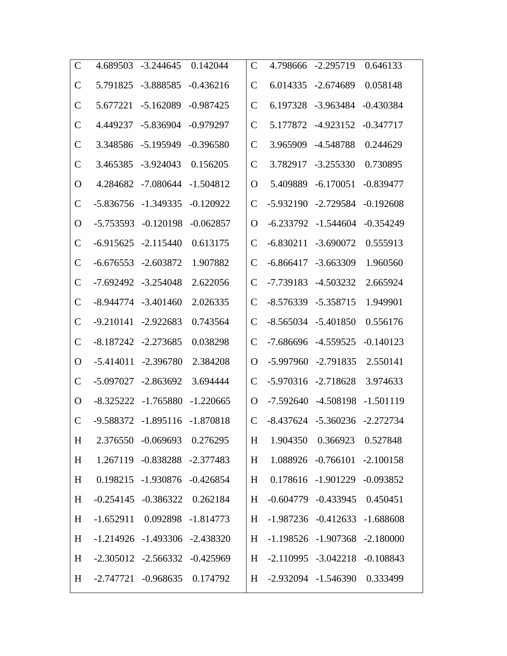| $\mathsf{C}$  | 4.689503    | $-3.244645$                         | 0.142044    | $\mathsf{C}$  | 4.798666                            | $-2.295719$                         | 0.646133    |
|---------------|-------------|-------------------------------------|-------------|---------------|-------------------------------------|-------------------------------------|-------------|
| $\mathcal{C}$ | 5.791825    | $-3.888585$                         | $-0.436216$ | $\mathcal{C}$ | 6.014335                            | $-2.674689$                         | 0.058148    |
| $\mathcal{C}$ | 5.677221    | $-5.162089$                         | $-0.987425$ | $\mathcal{C}$ | 6.197328                            | $-3.963484$                         | $-0.430384$ |
| $\mathcal{C}$ | 4.449237    | $-5.836904$                         | $-0.979297$ | $\mathcal{C}$ | 5.177872                            | $-4.923152$                         | $-0.347717$ |
| $\mathcal{C}$ | 3.348586    | $-5.195949$                         | $-0.396580$ | $\mathcal{C}$ | 3.965909                            | -4.548788                           | 0.244629    |
| $\mathcal{C}$ | 3.465385    | $-3.924043$                         | 0.156205    | $\mathcal{C}$ | 3.782917                            | $-3.255330$                         | 0.730895    |
| O             | 4.284682    | $-7.080644$                         | $-1.504812$ | O             | 5.409889                            | $-6.170051$                         | $-0.839477$ |
| $\mathsf{C}$  | $-5.836756$ | $-1.349335$                         | $-0.120922$ | $\mathcal C$  | $-5.932190$                         | $-2.729584$                         | $-0.192608$ |
| O             | $-5.753593$ | $-0.120198$                         | $-0.062857$ | O             | $-6.233792$                         | $-1.544604$                         | $-0.354249$ |
| $\mathcal{C}$ | $-6.915625$ | $-2.115440$                         | 0.613175    | $\mathcal{C}$ | $-6.830211$                         | $-3.690072$                         | 0.555913    |
| $\mathsf{C}$  | $-6.676553$ | $-2.603872$                         | 1.907882    | $\mathcal C$  | $-6.866417$                         | $-3.663309$                         | 1.960560    |
| $\mathsf{C}$  | $-7.692492$ | $-3.254048$                         | 2.622056    | $\mathcal{C}$ | -7.739183                           | $-4.503232$                         | 2.665924    |
| $\mathsf{C}$  | $-8.944774$ | $-3.401460$                         | 2.026335    | $\mathcal{C}$ | $-8.576339$                         | $-5.358715$                         | 1.949901    |
| $\mathsf{C}$  | $-9.210141$ | $-2.922683$                         | 0.743564    | $\mathcal{C}$ | $-8.565034$                         | $-5.401850$                         | 0.556176    |
| $\mathsf{C}$  | $-8.187242$ | $-2.273685$                         | 0.038298    | $\mathcal{C}$ | $-7.686696$                         | $-4.559525$                         | $-0.140123$ |
| O             | $-5.414011$ | $-2.396780$                         | 2.384208    | O             | $-5.997960$                         | $-2.791835$                         | 2.550141    |
| $\mathsf{C}$  | $-5.097027$ | $-2.863692$                         | 3.694444    | $\mathcal{C}$ | $-5.970316$                         | $-2.718628$                         | 3.974633    |
| $\Omega$      | $-8.325222$ | $-1.765880$                         | $-1.220665$ | O             | $-7.592640$                         | -4.508198                           | $-1.501119$ |
| $\mathsf{C}$  | -9.588372   | $-1.895116$                         | $-1.870818$ | $\mathcal{C}$ |                                     | -8.437624 -5.360236 -2.272734       |             |
| H             |             | 2.376550 -0.069693 0.276295         |             | H             |                                     | 1.904350  0.366923  0.527848        |             |
| H             |             | 1.267119 -0.838288 -2.377483        |             | H             |                                     | 1.088926 -0.766101 -2.100158        |             |
| H             |             | 0.198215 -1.930876 -0.426854        |             | H             |                                     | 0.178616 -1.901229 -0.093852        |             |
| H             |             | $-0.254145$ $-0.386322$ $0.262184$  |             | H             |                                     | $-0.604779$ $-0.433945$ $0.450451$  |             |
| H             |             | $-1.652911$ 0.092898 $-1.814773$    |             | H             |                                     | $-1.987236$ $-0.412633$ $-1.688608$ |             |
| H             |             | $-1.214926$ $-1.493306$ $-2.438320$ |             | H             |                                     | $-1.198526$ $-1.907368$ $-2.180000$ |             |
| H             |             | $-2.305012$ $-2.566332$ $-0.425969$ |             | H             | $-2.110995$ $-3.042218$ $-0.108843$ |                                     |             |
| H             |             | $-2.747721$ $-0.968635$ $0.174792$  |             | H             | -2.932094 -1.546390 0.333499        |                                     |             |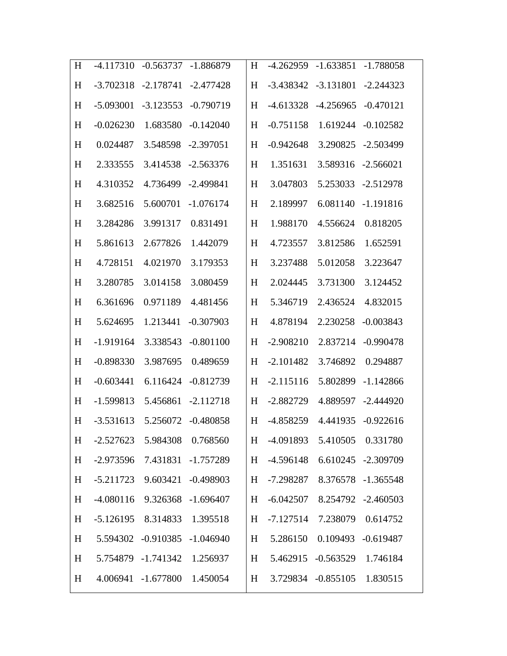| H | $-4.117310$ | $-0.563737$                    | $-1.886879$ | H | $-4.262959$                   | $-1.633851$                   | $-1.788058$        |
|---|-------------|--------------------------------|-------------|---|-------------------------------|-------------------------------|--------------------|
| H | $-3.702318$ | $-2.178741$                    | $-2.477428$ | H | $-3.438342$                   | $-3.131801$                   | $-2.244323$        |
| H | $-5.093001$ | $-3.123553$                    | $-0.790719$ | H | $-4.613328$                   | $-4.256965$                   | $-0.470121$        |
| H | $-0.026230$ | 1.683580                       | $-0.142040$ | H | $-0.751158$                   | 1.619244                      | $-0.102582$        |
| H | 0.024487    | 3.548598                       | $-2.397051$ | H | $-0.942648$                   | 3.290825                      | $-2.503499$        |
| H | 2.333555    | 3.414538                       | $-2.563376$ | H | 1.351631                      | 3.589316                      | $-2.566021$        |
| H | 4.310352    | 4.736499                       | $-2.499841$ | H | 3.047803                      | 5.253033                      | $-2.512978$        |
| H | 3.682516    | 5.600701                       | $-1.076174$ | H | 2.189997                      | 6.081140                      | $-1.191816$        |
| H | 3.284286    | 3.991317                       | 0.831491    | H | 1.988170                      | 4.556624                      | 0.818205           |
| H | 5.861613    | 2.677826                       | 1.442079    | H | 4.723557                      | 3.812586                      | 1.652591           |
| H | 4.728151    | 4.021970                       | 3.179353    | H | 3.237488                      | 5.012058                      | 3.223647           |
| H | 3.280785    | 3.014158                       | 3.080459    | H | 2.024445                      | 3.731300                      | 3.124452           |
| H | 6.361696    | 0.971189                       | 4.481456    | H | 5.346719                      | 2.436524                      | 4.832015           |
| H | 5.624695    | 1.213441                       | $-0.307903$ | H | 4.878194                      | 2.230258                      | $-0.003843$        |
| H | $-1.919164$ | 3.338543                       | $-0.801100$ | H | $-2.908210$                   | 2.837214                      | $-0.990478$        |
| H | $-0.898330$ | 3.987695                       | 0.489659    | H | $-2.101482$                   | 3.746892                      | 0.294887           |
| H | $-0.603441$ | 6.116424                       | $-0.812739$ | H | $-2.115116$                   | 5.802899                      | $-1.142866$        |
| H | $-1.599813$ | 5.456861                       | $-2.112718$ | H | $-2.882729$                   | 4.889597                      | $-2.444920$        |
| H | $-3.531613$ | 5.256072                       | $-0.480858$ | H | $-4.858259$                   | 4.441935                      | $-0.922616$        |
| H |             | $-2.527623$ 5.984308 0.768560  |             |   | H -4.091893 5.410505 0.331780 |                               |                    |
| H |             | -2.973596 7.431831 -1.757289   |             | H | -4.596148                     |                               | 6.610245 -2.309709 |
| H |             | -5.211723 9.603421 -0.498903   |             | H | -7.298287                     |                               | 8.376578 -1.365548 |
| H |             | -4.080116  9.326368  -1.696407 |             | H | $-6.042507$                   |                               | 8.254792 -2.460503 |
| H |             | -5.126195 8.314833 1.395518    |             | H |                               | -7.127514 7.238079 0.614752   |                    |
| H |             | 5.594302 -0.910385 -1.046940   |             | H |                               | 5.286150  0.109493  -0.619487 |                    |
| H |             | 5.754879 -1.741342 1.256937    |             | H |                               | 5.462915 -0.563529 1.746184   |                    |
| H |             | 4.006941 -1.677800 1.450054    |             | H |                               | 3.729834 -0.855105            | 1.830515           |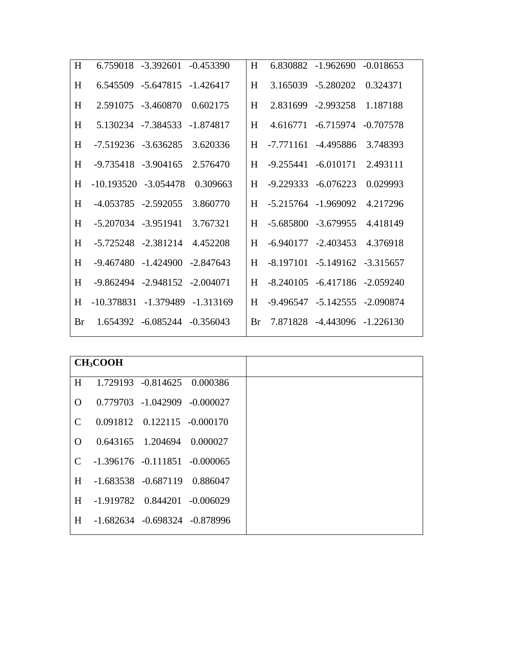| H  |                         | 6.759018 -3.392601 -0.453390        |                         | H         |                         | $6.830882 - 1.962690 - 0.018653$    |          |
|----|-------------------------|-------------------------------------|-------------------------|-----------|-------------------------|-------------------------------------|----------|
| H  |                         | 6.545509 -5.647815 -1.426417        |                         | H         |                         | 3.165039 -5.280202                  | 0.324371 |
| H  |                         | 2.591075 -3.460870                  | 0.602175                | H         |                         | 2.831699 -2.993258 1.187188         |          |
| H  |                         | 5.130234 -7.384533 -1.874817        |                         | H         |                         | 4.616771 -6.715974 -0.707578        |          |
| H  |                         | -7.519236 -3.636285                 | 3.620336                | H         |                         | -7.771161 -4.495886                 | 3.748393 |
| H  | $-9.735418 - 3.904165$  |                                     | 2.576470                | H         |                         | $-9.255441 - 6.010171$              | 2.493111 |
| H  | $-10.193520 - 3.054478$ |                                     | 0.309663                | H         |                         | $-9.229333 - 6.076223$              | 0.029993 |
| H  | -4.053785 -2.592055     |                                     | 3.860770                | H         | $-5.215764$ $-1.969092$ |                                     | 4.217296 |
| H  | $-5.207034$ $-3.951941$ |                                     | 3.767321                | H         | $-5.685800 - 3.679955$  |                                     | 4.418149 |
| H  | $-5.725248$ $-2.381214$ |                                     | 4.452208                | H         |                         | -6.940177 -2.403453                 | 4.376918 |
| H  |                         | $-9.467480 - 1.424900 - 2.847643$   |                         | H         |                         | $-8.197101 - 5.149162 - 3.315657$   |          |
| H  |                         | $-9.862494$ $-2.948152$ $-2.004071$ |                         | H         |                         | $-8.240105$ $-6.417186$ $-2.059240$ |          |
| H  | -10.378831              |                                     | $-1.379489$ $-1.313169$ | H         |                         | $-9.496547 - 5.142555 - 2.090874$   |          |
| Br |                         | 1.654392 -6.085244 -0.356043        |                         | <b>Br</b> |                         | 7.871828 -4.443096 -1.226130        |          |
|    |                         |                                     |                         |           |                         |                                     |          |

|               | CH <sub>3</sub> COOH                |                                   |  |
|---------------|-------------------------------------|-----------------------------------|--|
| H             |                                     | 1.729193 -0.814625 0.000386       |  |
| $\Omega$      |                                     | 0.779703 -1.042909 -0.000027      |  |
| $\mathcal{C}$ |                                     | $0.091812$ $0.122115$ $-0.000170$ |  |
| $\Omega$      |                                     | 0.643165 1.204694 0.000027        |  |
| $\mathcal{C}$ | $-1.396176$ $-0.111851$ $-0.000065$ |                                   |  |
| H             | $-1.683538 - 0.687119$ 0.886047     |                                   |  |
| H             | $-1.919782$ 0.844201 $-0.006029$    |                                   |  |
| H             | $-1.682634$ $-0.698324$ $-0.878996$ |                                   |  |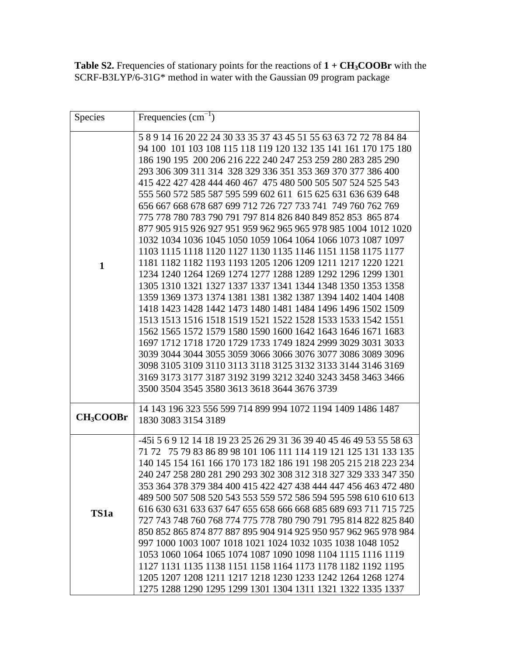**Table S2.** Frequencies of stationary points for the reactions of **1 + CH3COOBr** with the SCRF-B3LYP/6-31G\* method in water with the Gaussian 09 program package

| <b>Species</b>        | Frequencies $\text{cm}^{-1}$ )                                                                                                                                                                                                                                                                                                                                                                                                                                                                                                                                                                                                                                                                                                                                                                                                                                                                                                                                                                                                                                                                                                                                                                                                                                                                                                                                                                                                                                                                     |  |  |  |  |
|-----------------------|----------------------------------------------------------------------------------------------------------------------------------------------------------------------------------------------------------------------------------------------------------------------------------------------------------------------------------------------------------------------------------------------------------------------------------------------------------------------------------------------------------------------------------------------------------------------------------------------------------------------------------------------------------------------------------------------------------------------------------------------------------------------------------------------------------------------------------------------------------------------------------------------------------------------------------------------------------------------------------------------------------------------------------------------------------------------------------------------------------------------------------------------------------------------------------------------------------------------------------------------------------------------------------------------------------------------------------------------------------------------------------------------------------------------------------------------------------------------------------------------------|--|--|--|--|
| $\mathbf{1}$          | 5 8 9 14 16 20 22 24 30 33 35 37 43 45 51 55 63 63 72 72 78 84 84<br>94 100 101 103 108 115 118 119 120 132 135 141 161 170 175 180<br>186 190 195 200 206 216 222 240 247 253 259 280 283 285 290<br>293 306 309 311 314 328 329 336 351 353 369 370 377 386 400<br>415 422 427 428 444 460 467 475 480 500 505 507 524 525 543<br>555 560 572 585 587 595 599 602 611 615 625 631 636 639 648<br>656 667 668 678 687 699 712 726 727 733 741 749 760 762 769<br>775 778 780 783 790 791 797 814 826 840 849 852 853 865 874<br>877 905 915 926 927 951 959 962 965 965 978 985 1004 1012 1020<br>1032 1034 1036 1045 1050 1059 1064 1064 1066 1073 1087 1097<br>1103 1115 1118 1120 1127 1130 1135 1146 1151 1158 1175 1177<br>1181 1182 1182 1193 1193 1205 1206 1209 1211 1217 1220 1221<br>1234 1240 1264 1269 1274 1277 1288 1289 1292 1296 1299 1301<br>1305 1310 1321 1327 1337 1337 1341 1344 1348 1350 1353 1358<br>1359 1369 1373 1374 1381 1381 1382 1387 1394 1402 1404 1408<br>1418 1423 1428 1442 1473 1480 1481 1484 1496 1496 1502 1509<br>1513 1513 1516 1518 1519 1521 1522 1528 1533 1533 1542 1551<br>1562 1565 1572 1579 1580 1590 1600 1642 1643 1646 1671 1683<br>1697 1712 1718 1720 1729 1733 1749 1824 2999 3029 3031 3033<br>3039 3044 3044 3055 3059 3066 3066 3076 3077 3086 3089 3096<br>3098 3105 3109 3110 3113 3118 3125 3132 3133 3144 3146 3169<br>3169 3173 3177 3187 3192 3199 3212 3240 3243 3458 3463 3466<br>3500 3504 3545 3580 3613 3618 3644 3676 3739 |  |  |  |  |
| CH <sub>3</sub> COOBr | 14 143 196 323 556 599 714 899 994 1072 1194 1409 1486 1487<br>1830 3083 3154 3189                                                                                                                                                                                                                                                                                                                                                                                                                                                                                                                                                                                                                                                                                                                                                                                                                                                                                                                                                                                                                                                                                                                                                                                                                                                                                                                                                                                                                 |  |  |  |  |
| TS <sub>1</sub> a     | -45i 5 6 9 12 14 18 19 23 25 26 29 31 36 39 40 45 46 49 53 55 58 63<br>71 72 75 79 83 86 89 98 101 106 111 114 119 121 125 131 133 135<br>140 145 154 161 166 170 173 182 186 191 198 205 215 218 223 234<br>240 247 258 280 281 290 293 302 308 312 318 327 329 333 347 350<br>353 364 378 379 384 400 415 422 427 438 444 447 456 463 472 480<br>489 500 507 508 520 543 553 559 572 586 594 595 598 610 610 613<br>616 630 631 633 637 647 655 658 666 668 685 689 693 711 715 725<br>727 743 748 760 768 774 775 778 780 790 791 795 814 822 825 840<br>850 852 865 874 877 887 895 904 914 925 950 957 962 965 978 984<br>997 1000 1003 1007 1018 1021 1024 1032 1035 1038 1048 1052<br>1053 1060 1064 1065 1074 1087 1090 1098 1104 1115 1116 1119<br>1127 1131 1135 1138 1151 1158 1164 1173 1178 1182 1192 1195<br>1205 1207 1208 1211 1217 1218 1230 1233 1242 1264 1268 1274<br>1275 1288 1290 1295 1299 1301 1304 1311 1321 1322 1335 1337                                                                                                                                                                                                                                                                                                                                                                                                                                                                                                                                              |  |  |  |  |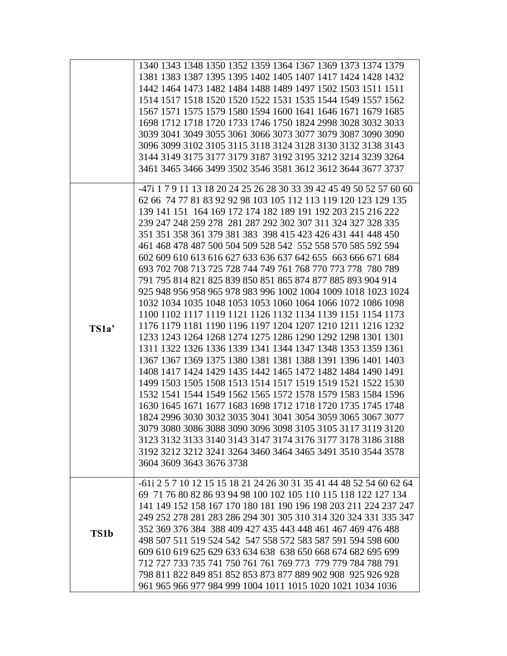|       | 1340 1343 1348 1350 1352 1359 1364 1367 1369 1373 1374 1379<br>1381 1383 1387 1395 1395 1402 1405 1407 1417 1424 1428 1432<br>1442 1464 1473 1482 1484 1488 1489 1497 1502 1503 1511 1511<br>1514 1517 1518 1520 1520 1522 1531 1535 1544 1549 1557 1562<br>1567 1571 1575 1579 1580 1594 1600 1641 1646 1671 1679 1685<br>1698 1712 1718 1720 1733 1746 1750 1824 2998 3028 3032 3033<br>3039 3041 3049 3055 3061 3066 3073 3077 3079 3087 3090 3090                                                                                                                                                                                                                                                                                                                                                                                                                                                                                                                                                                                                                                                                                                                                                                                                                                                                                                                                                                                                                                                                                                                                                         |
|-------|---------------------------------------------------------------------------------------------------------------------------------------------------------------------------------------------------------------------------------------------------------------------------------------------------------------------------------------------------------------------------------------------------------------------------------------------------------------------------------------------------------------------------------------------------------------------------------------------------------------------------------------------------------------------------------------------------------------------------------------------------------------------------------------------------------------------------------------------------------------------------------------------------------------------------------------------------------------------------------------------------------------------------------------------------------------------------------------------------------------------------------------------------------------------------------------------------------------------------------------------------------------------------------------------------------------------------------------------------------------------------------------------------------------------------------------------------------------------------------------------------------------------------------------------------------------------------------------------------------------|
|       | 3096 3099 3102 3105 3115 3118 3124 3128 3130 3132 3138 3143<br>3144 3149 3175 3177 3179 3187 3192 3195 3212 3214 3239 3264<br>3461 3465 3466 3499 3502 3546 3581 3612 3612 3644 3677 3737                                                                                                                                                                                                                                                                                                                                                                                                                                                                                                                                                                                                                                                                                                                                                                                                                                                                                                                                                                                                                                                                                                                                                                                                                                                                                                                                                                                                                     |
| TS1a' | -47i 1 7 9 11 13 18 20 24 25 26 28 30 33 39 42 45 49 50 52 57 60 60<br>62 66 74 77 81 83 92 92 98 103 105 112 113 119 120 123 129 135<br>139 141 151 164 169 172 174 182 189 191 192 203 215 216 222<br>239 247 248 259 278 281 287 292 302 307 311 324 327 328 335<br>351 351 358 361 379 381 383 398 415 423 426 431 441 448 450<br>461 468 478 487 500 504 509 528 542 552 558 570 585 592 594<br>602 609 610 613 616 627 633 636 637 642 655 663 666 671 684<br>693 702 708 713 725 728 744 749 761 768 770 773 778 780 789<br>791 795 814 821 825 839 850 851 865 874 877 885 893 904 914<br>925 948 956 958 965 978 983 996 1002 1004 1009 1018 1023 1024<br>1032 1034 1035 1048 1053 1053 1060 1064 1066 1072 1086 1098<br>1100 1102 1117 1119 1121 1126 1132 1134 1139 1151 1154 1173<br>1176 1179 1181 1190 1196 1197 1204 1207 1210 1211 1216 1232<br>1233 1243 1264 1268 1274 1275 1286 1290 1292 1298 1301 1301<br>1311 1322 1326 1336 1339 1341 1344 1347 1348 1353 1359 1361<br>1367 1367 1369 1375 1380 1381 1381 1388 1391 1396 1401 1403<br>1408 1417 1424 1429 1435 1442 1465 1472 1482 1484 1490 1491<br>1499 1503 1505 1508 1513 1514 1517 1519 1519 1521 1522 1530<br>1532 1541 1544 1549 1562 1565 1572 1578 1579 1583 1584 1596<br>1630 1645 1671 1677 1683 1698 1712 1718 1720 1735 1745 1748<br>1824 2996 3030 3032 3035 3041 3041 3054 3059 3065 3067 3077<br>3079 3080 3086 3088 3090 3096 3098 3105 3105 3117 3119 3120<br>3123 3132 3133 3140 3143 3147 3174 3176 3177 3178 3186 3188<br>3192 3212 3212 3241 3264 3460 3464 3465 3491 3510 3544 3578<br>3604 3609 3643 3676 3738 |
| TS1b  | -61i 2 5 7 10 12 15 15 18 21 24 26 30 31 35 41 44 48 52 54 60 62 64<br>69 71 76 80 82 86 93 94 98 100 102 105 110 115 118 122 127 134<br>141 149 152 158 167 170 180 181 190 196 198 203 211 224 237 247<br>249 252 278 281 283 286 294 301 305 310 314 320 324 331 335 347<br>352 369 376 384 388 409 427 435 443 448 461 467 469 476 488<br>498 507 511 519 524 542 547 558 572 583 587 591 594 598 600<br>609 610 619 625 629 633 634 638 638 650 668 674 682 695 699<br>712 727 733 735 741 750 761 761 769 773 779 779 784 788 791<br>798 811 822 849 851 852 853 873 877 889 902 908 925 926 928<br>961 965 966 977 984 999 1004 1011 1015 1020 1021 1034 1036                                                                                                                                                                                                                                                                                                                                                                                                                                                                                                                                                                                                                                                                                                                                                                                                                                                                                                                                          |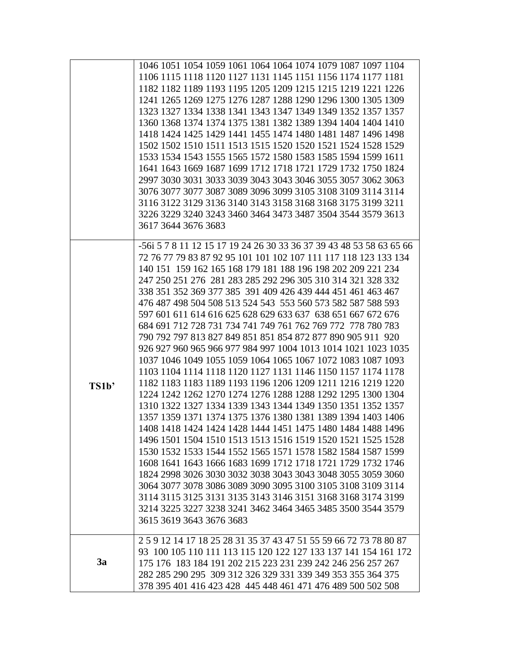|       | 1046 1051 1054 1059 1061 1064 1064 1074 1079 1087 1097 1104<br>1106 1115 1118 1120 1127 1131 1145 1151 1156 1174 1177 1181<br>1182 1182 1189 1193 1195 1205 1209 1215 1215 1219 1221 1226<br>1241 1265 1269 1275 1276 1287 1288 1290 1296 1300 1305 1309<br>1323 1327 1334 1338 1341 1343 1347 1349 1349 1352 1357 1357<br>1360 1368 1374 1374 1375 1381 1382 1389 1394 1404 1404 1410<br>1418 1424 1425 1429 1441 1455 1474 1480 1481 1487 1496 1498<br>1502 1502 1510 1511 1513 1515 1520 1520 1521 1524 1528 1529<br>1533 1534 1543 1555 1565 1572 1580 1583 1585 1594 1599 1611<br>1641 1643 1669 1687 1699 1712 1718 1721 1729 1732 1750 1824<br>2997 3030 3031 3033 3039 3043 3043 3046 3055 3057 3062 3063<br>3076 3077 3077 3087 3089 3096 3099 3105 3108 3109 3114 3114<br>3116 3122 3129 3136 3140 3143 3158 3168 3168 3175 3199 3211<br>3226 3229 3240 3243 3460 3464 3473 3487 3504 3544 3579 3613                                                                                                                                                                                                                                                                                                                                                                                                                                                                                                                                                                                                                                                                                                 |
|-------|----------------------------------------------------------------------------------------------------------------------------------------------------------------------------------------------------------------------------------------------------------------------------------------------------------------------------------------------------------------------------------------------------------------------------------------------------------------------------------------------------------------------------------------------------------------------------------------------------------------------------------------------------------------------------------------------------------------------------------------------------------------------------------------------------------------------------------------------------------------------------------------------------------------------------------------------------------------------------------------------------------------------------------------------------------------------------------------------------------------------------------------------------------------------------------------------------------------------------------------------------------------------------------------------------------------------------------------------------------------------------------------------------------------------------------------------------------------------------------------------------------------------------------------------------------------------------------------------------------------|
|       | 3617 3644 3676 3683                                                                                                                                                                                                                                                                                                                                                                                                                                                                                                                                                                                                                                                                                                                                                                                                                                                                                                                                                                                                                                                                                                                                                                                                                                                                                                                                                                                                                                                                                                                                                                                            |
| TS1b' | -56i 5 7 8 11 12 15 17 19 24 26 30 33 36 37 39 43 48 53 58 63 65 66<br>72 76 77 79 83 87 92 95 101 101 102 107 111 117 118 123 133 134<br>140 151 159 162 165 168 179 181 188 196 198 202 209 221 234<br>247 250 251 276 281 283 285 292 296 305 310 314 321 328 332<br>338 351 352 369 377 385 391 409 426 439 444 451 461 463 467<br>476 487 498 504 508 513 524 543 553 560 573 582 587 588 593<br>597 601 611 614 616 625 628 629 633 637 638 651 667 672 676<br>684 691 712 728 731 734 741 749 761 762 769 772 778 780 783<br>790 792 797 813 827 849 851 851 854 872 877 890 905 911 920<br>926 927 960 965 966 977 984 997 1004 1013 1014 1021 1023 1035<br>1037 1046 1049 1055 1059 1064 1065 1067 1072 1083 1087 1093<br>1103 1104 1114 1118 1120 1127 1131 1146 1150 1157 1174 1178<br>1182 1183 1183 1189 1193 1196 1206 1209 1211 1216 1219 1220<br>1224 1242 1262 1270 1274 1276 1288 1288 1292 1295 1300 1304<br>1310 1322 1327 1334 1339 1343 1344 1349 1350 1351 1352 1357<br>1357 1359 1371 1374 1375 1376 1380 1381 1389 1394 1403 1406<br>1408 1418 1424 1424 1428 1444 1451 1475 1480 1484 1488 1496<br>1496 1501 1504 1510 1513 1513 1516 1519 1520 1521 1525 1528<br>1530 1532 1533 1544 1552 1565 1571 1578 1582 1584 1587 1599<br>1608 1641 1643 1666 1683 1699 1712 1718 1721 1729 1732 1746<br>1824 2998 3026 3030 3032 3038 3043 3043 3048 3055 3059 3060<br>3064 3077 3078 3086 3089 3090 3095 3100 3105 3108 3109 3114<br>3114 3115 3125 3131 3135 3143 3146 3151 3168 3168 3174 3199<br>3214 3225 3227 3238 3241 3462 3464 3465 3485 3500 3544 3579<br>3615 3619 3643 3676 3683 |
| 3a    | 2 5 9 12 14 17 18 25 28 31 35 37 43 47 51 55 59 66 72 73 78 80 87<br>93 100 105 110 111 113 115 120 122 127 133 137 141 154 161 172<br>175 176 183 184 191 202 215 223 231 239 242 246 256 257 267<br>282 285 290 295 309 312 326 329 331 339 349 353 355 364 375<br>378 395 401 416 423 428 445 448 461 471 476 489 500 502 508                                                                                                                                                                                                                                                                                                                                                                                                                                                                                                                                                                                                                                                                                                                                                                                                                                                                                                                                                                                                                                                                                                                                                                                                                                                                               |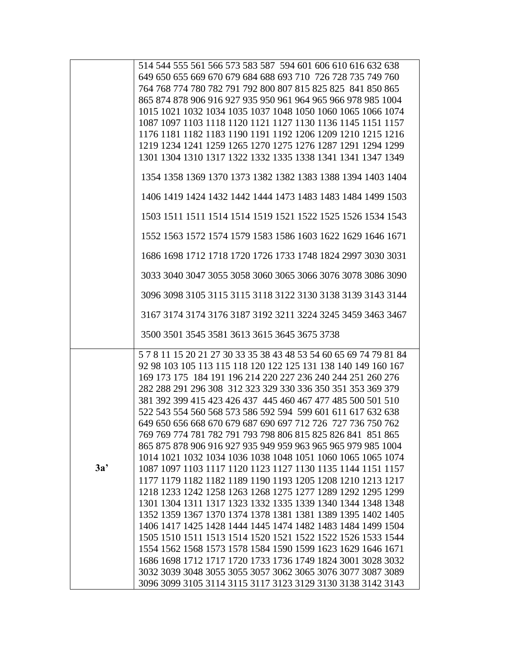|     | 514 544 555 561 566 573 583 587 594 601 606 610 616 632 638                                                                |
|-----|----------------------------------------------------------------------------------------------------------------------------|
|     | 649 650 655 669 670 679 684 688 693 710 726 728 735 749 760                                                                |
|     | 764 768 774 780 782 791 792 800 807 815 825 825 841 850 865                                                                |
|     | 865 874 878 906 916 927 935 950 961 964 965 966 978 985 1004                                                               |
|     | 1015 1021 1032 1034 1035 1037 1048 1050 1060 1065 1066 1074                                                                |
|     | 1087 1097 1103 1118 1120 1121 1127 1130 1136 1145 1151 1157                                                                |
|     | 1176 1181 1182 1183 1190 1191 1192 1206 1209 1210 1215 1216                                                                |
|     | 1219 1234 1241 1259 1265 1270 1275 1276 1287 1291 1294 1299                                                                |
|     | 1301 1304 1310 1317 1322 1332 1335 1338 1341 1341 1347 1349                                                                |
|     |                                                                                                                            |
|     | 1354 1358 1369 1370 1373 1382 1382 1383 1388 1394 1403 1404                                                                |
|     | 1406 1419 1424 1432 1442 1444 1473 1483 1483 1484 1499 1503                                                                |
|     |                                                                                                                            |
|     | 1503 1511 1511 1514 1514 1519 1521 1522 1525 1526 1534 1543                                                                |
|     | 1552 1563 1572 1574 1579 1583 1586 1603 1622 1629 1646 1671                                                                |
|     | 1686 1698 1712 1718 1720 1726 1733 1748 1824 2997 3030 3031                                                                |
|     | 3033 3040 3047 3055 3058 3060 3065 3066 3076 3078 3086 3090                                                                |
|     | 3096 3098 3105 3115 3115 3118 3122 3130 3138 3139 3143 3144                                                                |
|     | 3167 3174 3174 3176 3187 3192 3211 3224 3245 3459 3463 3467                                                                |
|     | 3500 3501 3545 3581 3613 3615 3645 3675 3738                                                                               |
|     | 5 7 8 11 15 20 21 27 30 33 35 38 43 48 53 54 60 65 69 74 79 81 84                                                          |
|     | 92 98 103 105 113 115 118 120 122 125 131 138 140 149 160 167                                                              |
|     | 169 173 175 184 191 196 214 220 227 236 240 244 251 260 276                                                                |
|     | 282 288 291 296 308 312 323 329 330 336 350 351 353 369 379                                                                |
|     | 381 392 399 415 423 426 437 445 460 467 477 485 500 501 510                                                                |
|     | 522 543 554 560 568 573 586 592 594 599 601 611 617 632 638                                                                |
|     | 649 650 656 668 670 679 687 690 697 712 726 727 736 750 762                                                                |
|     | 769 769 774 781 782 791 793 798 806 815 825 826 841 851 865                                                                |
|     | 865 875 878 906 916 927 935 949 959 963 965 965 979 985 1004                                                               |
|     | 1014 1021 1032 1034 1036 1038 1048 1051 1060 1065 1065 1074                                                                |
| 3a' | 1087 1097 1103 1117 1120 1123 1127 1130 1135 1144 1151 1157                                                                |
|     | 1177 1179 1182 1182 1189 1190 1193 1205 1208 1210 1213 1217                                                                |
|     | 1218 1233 1242 1258 1263 1268 1275 1277 1289 1292 1295 1299                                                                |
|     | 1301 1304 1311 1317 1323 1332 1335 1339 1340 1344 1348 1348                                                                |
|     | 1352 1359 1367 1370 1374 1378 1381 1381 1389 1395 1402 1405                                                                |
|     | 1406 1417 1425 1428 1444 1445 1474 1482 1483 1484 1499 1504                                                                |
|     | 1505 1510 1511 1513 1514 1520 1521 1522 1522 1526 1533 1544                                                                |
|     |                                                                                                                            |
|     |                                                                                                                            |
|     | 1554 1562 1568 1573 1578 1584 1590 1599 1623 1629 1646 1671                                                                |
|     | 1686 1698 1712 1717 1720 1733 1736 1749 1824 3001 3028 3032                                                                |
|     | 3032 3039 3048 3055 3055 3057 3062 3065 3076 3077 3087 3089<br>3096 3099 3105 3114 3115 3117 3123 3129 3130 3138 3142 3143 |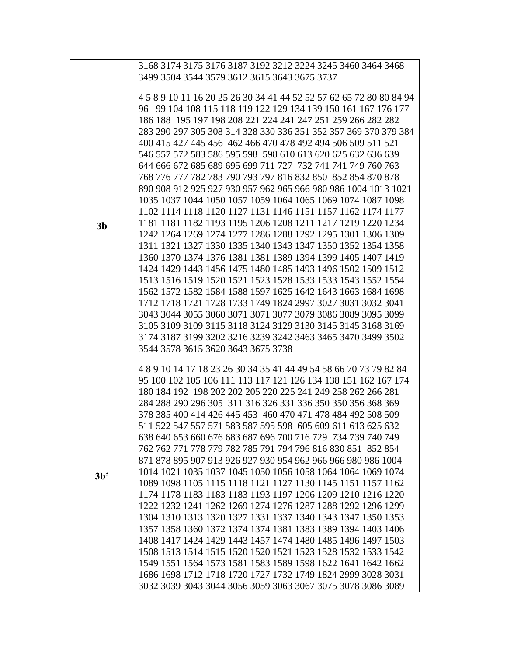|                | 3168 3174 3175 3176 3187 3192 3212 3224 3245 3460 3464 3468                                                                                                                                                                                                                                                                                                                                                                                                                                                                                                                                                                                                                                                                                                                                                                                                                                                                                                                                                                                                                                                                                                                                                                                                                                                                                                                                                                                                                                   |
|----------------|-----------------------------------------------------------------------------------------------------------------------------------------------------------------------------------------------------------------------------------------------------------------------------------------------------------------------------------------------------------------------------------------------------------------------------------------------------------------------------------------------------------------------------------------------------------------------------------------------------------------------------------------------------------------------------------------------------------------------------------------------------------------------------------------------------------------------------------------------------------------------------------------------------------------------------------------------------------------------------------------------------------------------------------------------------------------------------------------------------------------------------------------------------------------------------------------------------------------------------------------------------------------------------------------------------------------------------------------------------------------------------------------------------------------------------------------------------------------------------------------------|
|                | 3499 3504 3544 3579 3612 3615 3643 3675 3737                                                                                                                                                                                                                                                                                                                                                                                                                                                                                                                                                                                                                                                                                                                                                                                                                                                                                                                                                                                                                                                                                                                                                                                                                                                                                                                                                                                                                                                  |
|                |                                                                                                                                                                                                                                                                                                                                                                                                                                                                                                                                                                                                                                                                                                                                                                                                                                                                                                                                                                                                                                                                                                                                                                                                                                                                                                                                                                                                                                                                                               |
| 3 <sub>b</sub> | 4 5 8 9 10 11 16 20 25 26 30 34 41 44 52 52 57 62 65 72 80 80 84 94<br>96 99 104 108 115 118 119 122 129 134 139 150 161 167 176 177<br>186 188 195 197 198 208 221 224 241 247 251 259 266 282 282<br>283 290 297 305 308 314 328 330 336 351 352 357 369 370 379 384<br>400 415 427 445 456 462 466 470 478 492 494 506 509 511 521<br>546 557 572 583 586 595 598 598 610 613 620 625 632 636 639<br>644 666 672 685 689 695 699 711 727 732 741 741 749 760 763<br>768 776 777 782 783 790 793 797 816 832 850 852 854 870 878<br>890 908 912 925 927 930 957 962 965 966 980 986 1004 1013 1021<br>1035 1037 1044 1050 1057 1059 1064 1065 1069 1074 1087 1098<br>1102 1114 1118 1120 1127 1131 1146 1151 1157 1162 1174 1177<br>1181 1181 1182 1193 1195 1206 1208 1211 1217 1219 1220 1234<br>1242 1264 1269 1274 1277 1286 1288 1292 1295 1301 1306 1309<br>1311 1321 1327 1330 1335 1340 1343 1347 1350 1352 1354 1358<br>1360 1370 1374 1376 1381 1381 1389 1394 1399 1405 1407 1419<br>1424 1429 1443 1456 1475 1480 1485 1493 1496 1502 1509 1512<br>1513 1516 1519 1520 1521 1523 1528 1533 1533 1543 1552 1554<br>1562 1572 1582 1584 1588 1597 1625 1642 1643 1663 1684 1698<br>1712 1718 1721 1728 1733 1749 1824 2997 3027 3031 3032 3041<br>3043 3044 3055 3060 3071 3071 3077 3079 3086 3089 3095 3099<br>3105 3109 3109 3115 3118 3124 3129 3130 3145 3145 3168 3169<br>3174 3187 3199 3202 3216 3239 3242 3463 3465 3470 3499 3502<br>3544 3578 3615 3620 3643 3675 3738 |
| 3 <sup>b</sup> | 4891014171823263034354144495458667073798284<br>95 100 102 105 106 111 113 117 121 126 134 138 151 162 167 174<br>180 184 192 198 202 202 205 220 225 241 249 258 262 266 281<br>284 288 290 296 305 311 316 326 331 336 350 350 356 368 369<br>378 385 400 414 426 445 453 460 470 471 478 484 492 508 509<br>511 522 547 557 571 583 587 595 598 605 609 611 613 625 632<br>638 640 653 660 676 683 687 696 700 716 729 734 739 740 749<br>762 762 771 778 779 782 785 791 794 796 816 830 851 852 854<br>871 878 895 907 913 926 927 930 954 962 966 966 980 986 1004<br>1014 1021 1035 1037 1045 1050 1056 1058 1064 1064 1069 1074<br>1089 1098 1105 1115 1118 1121 1127 1130 1145 1151 1157 1162<br>1174 1178 1183 1183 1183 1193 1197 1206 1209 1210 1216 1220<br>1222 1232 1241 1262 1269 1274 1276 1287 1288 1292 1296 1299<br>1304 1310 1313 1320 1327 1331 1337 1340 1343 1347 1350 1353<br>1357 1358 1360 1372 1374 1374 1381 1383 1389 1394 1403 1406<br>1408 1417 1424 1429 1443 1457 1474 1480 1485 1496 1497 1503<br>1508 1513 1514 1515 1520 1520 1521 1523 1528 1532 1533 1542<br>1549 1551 1564 1573 1581 1583 1589 1598 1622 1641 1642 1662<br>1686 1698 1712 1718 1720 1727 1732 1749 1824 2999 3028 3031<br>3032 3039 3043 3044 3056 3059 3063 3067 3075 3078 3086 3089                                                                                                                                                                                                  |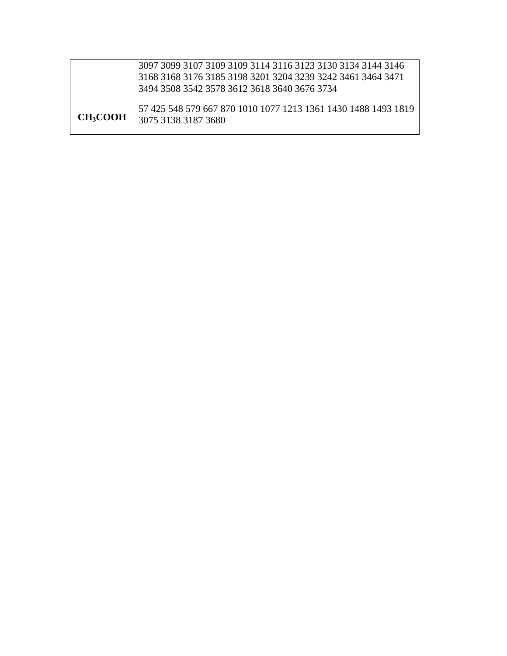|                           | 3097 3099 3107 3109 3109 3114 3116 3123 3130 3134 3144 3146<br>3168 3168 3176 3185 3198 3201 3204 3239 3242 3461 3464 3471<br>3494 3508 3542 3578 3612 3618 3640 3676 3734 |
|---------------------------|----------------------------------------------------------------------------------------------------------------------------------------------------------------------------|
| <b>CH<sub>3</sub>COOH</b> | 57 425 548 579 667 870 1010 1077 1213 1361 1430 1488 1493 1819<br>3075 3138 3187 3680                                                                                      |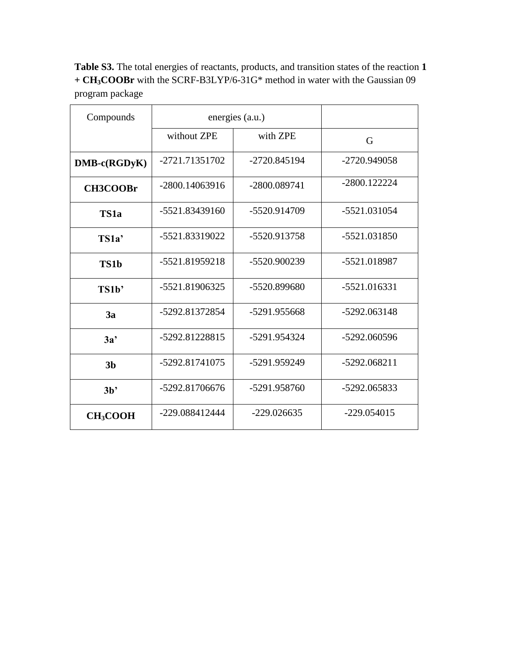**Table S3.** The total energies of reactants, products, and transition states of the reaction **1 + CH3COOBr** with the SCRF-B3LYP/6-31G\* method in water with the Gaussian 09 program package

| Compounds            | energies (a.u.) |                |                |
|----------------------|-----------------|----------------|----------------|
|                      | without ZPE     | with ZPE       | G              |
| $DMB-c(RGDyK)$       | -2721.71351702  | $-2720.845194$ | -2720.949058   |
| <b>CH3COOBr</b>      | -2800.14063916  | -2800.089741   | $-2800.122224$ |
| TS1a                 | -5521.83439160  | -5520.914709   | -5521.031054   |
| TS1a'                | -5521.83319022  | -5520.913758   | $-5521.031850$ |
| TS1b                 | -5521.81959218  | -5520.900239   | -5521.018987   |
| TS1b'                | -5521.81906325  | -5520.899680   | $-5521.016331$ |
| 3a                   | -5292.81372854  | -5291.955668   | -5292.063148   |
| 3a'                  | -5292.81228815  | -5291.954324   | -5292.060596   |
| 3 <sub>b</sub>       | -5292.81741075  | -5291.959249   | $-5292.068211$ |
| 3 <sup>b</sup>       | -5292.81706676  | -5291.958760   | -5292.065833   |
| CH <sub>3</sub> COOH | -229.088412444  | $-229.026635$  | $-229.054015$  |